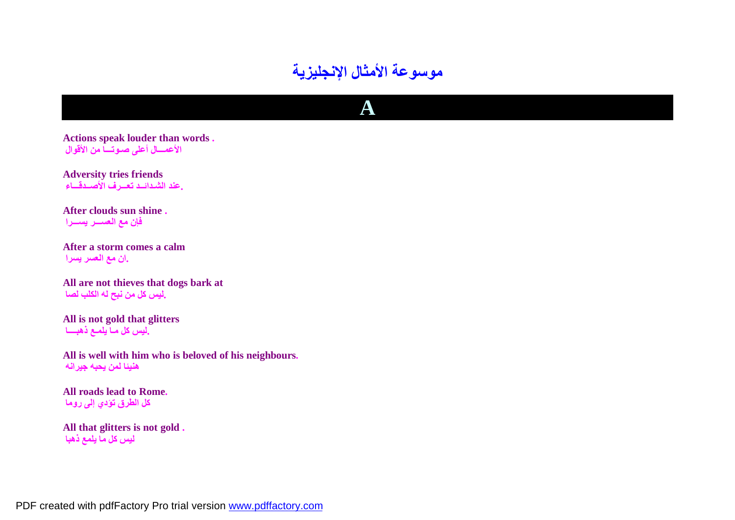

**A**

**Actions speak louder than words . الأعمـــال أعلى صـوتـــا من الأقوال**

**Adversity tries friends .عند الشـدائــد تعـــرف الأصــدقـــاء**

**After clouds sun shine . فإن مع العســـر یســـرا**

**After a storm comes a calm .ان مع العسر یسرا**

**All are not thieves that dogs bark at .لیس كل من نبح لھ الكلب لصا**

**All is not gold that glitters .لیس كل مـا یلمـع ذھبــــا**

**All is well with him who is beloved of his neighbours. ھنیئا لمن یحبھ جیرانھ**

**All roads lead to Rome. كل الطرق تؤدي إلى روما**

**All that glitters is not gold . لیس كل ما یلمع ذھبا**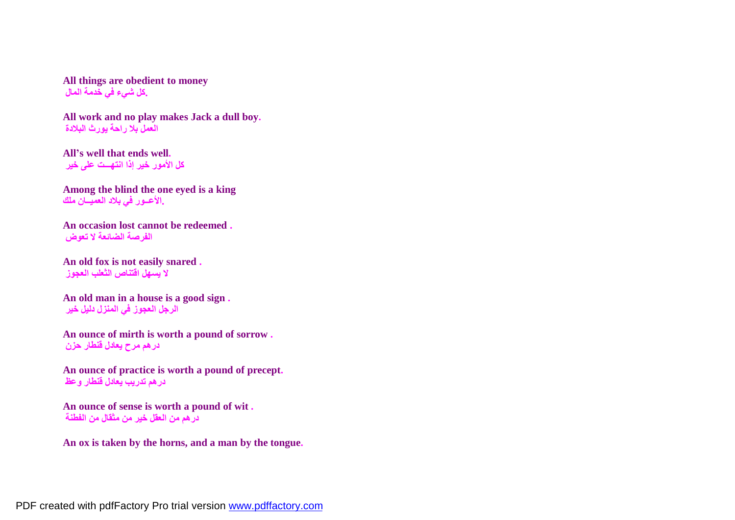**All things are obedient to money .كل شيء في خدمة المال**

**All work and no play makes Jack a dull boy. العمل بلا راحة یورث البلادة**

**All's well that ends well. كل الأمور خیر إذا انتھـــت على خیر**

**Among the blind the one eyed is a king .الأعــور في بلاد العمیــان ملك**

**An occasion lost cannot be redeemed . الفرصة الضائعة لا تعوض**

**An old fox is not easily snared . لا یسھل اقتناص الثعلب العجوز**

**An old man in a house is a good sign . الرجل العجوز في المنزل دلیل خیر**

**An ounce of mirth is worth a pound of sorrow . درھم مرح یعادل قنطار حزن**

**An ounce of practice is worth a pound of precept. درھم تدریب یعادل قنطار وعظ**

**An ounce of sense is worth a pound of wit . درھم من العقل خیر من مثقال من الفطنة**

**An ox is taken by the horns, and a man by the tongue.**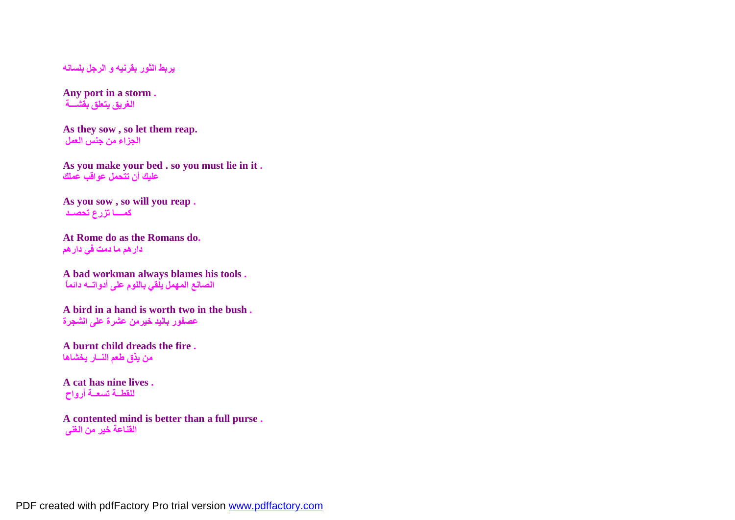**یربط الثور بقرنیھ و الرجل بلسانھ**

**Any port in a storm . الغریق یتعلق بقشـــة**

**As they sow , so let them reap. الجزاء من جنس العمل**

**As you make your bed . so you must lie in it . علیك أن تتحمل عواقب عملك**

**As you sow , so will you reap . كمــــا تزرع تحصــد**

**At Rome do as the Romans do. دارھم ما دمت في دارھم**

**A bad workman always blames his tools . الصانع المھمل یلقي باللوم على أدواتــھ دائماً**

**A bird in a hand is worth two in the bush . عصفور بالید خیرمن عشرة على الشجرة**

**A burnt child dreads the fire . من یذق طعم النــار یخشاھا**

**A cat has nine lives . للقطــة تسعــة أرواح**

**A contented mind is better than a full purse . القناعة خیر من الغنى**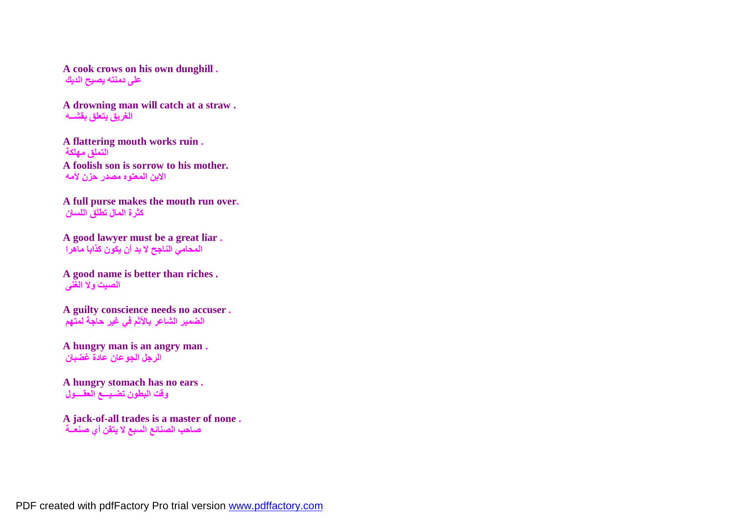**A cook crows on his own dunghill . على دمنتھ یصیح الدیك**

**A drowning man will catch at a straw . الغریق یتعلق بقشــھ**

**A flattering mouth works ruin . التملق مھلكة A foolish son is sorrow to his mother. الابن المعتوه مصدر حزن لأمھ**

**A full purse makes the mouth run over. كثرة المال تطلق اللسان**

**A good lawyer must be a great liar . المحامي الناجح لا بد أن یكون كذابا ماھرا**

**A good name is better than riches . الصیت ولا الغنى**

**A guilty conscience needs no accuser . الضمیر الشاعر بالأثم في غیر حاجة لمتھم**

**A hungry man is an angry man . الرجل الجوعان عادة غضبان**

**A hungry stomach has no ears . وقت البطون تضـیـــع العقــــول**

**A jack-of-all trades is a master of none . صاحب الصنائع السبع لا یتقن أي صنعــة**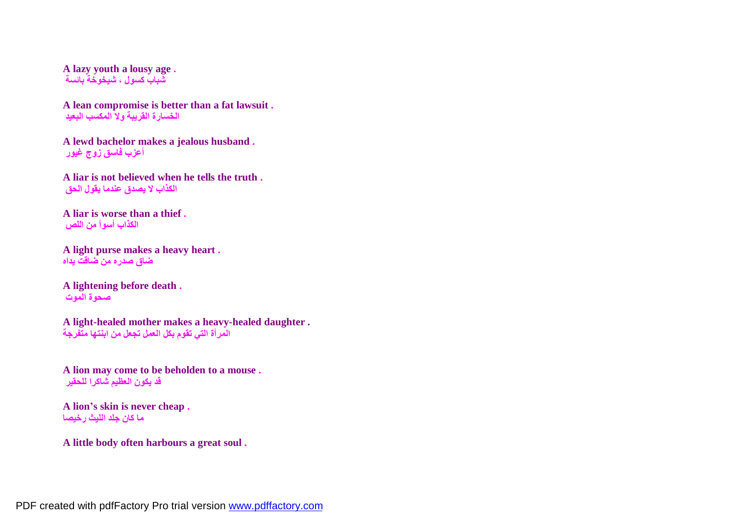**A lazy youth a lousy age . شباب كسول ، شیخوخة بائسة**

**A lean compromise is better than a fat lawsuit . الخسارة القریبة ولا المكسب البعید**

**A lewd bachelor makes a jealous husband . أعزب فاسق زوج غیور**

**A liar is not believed when he tells the truth . الكذاب لا یصدق عندما یقول الحق**

**A liar is worse than a thief . الكذاب أسوأ من اللص**

**A light purse makes a heavy heart . ضاق صدره من ضاقت یداه**

**A lightening before death . صحوة الموت**

**A light-healed mother makes a heavy-healed daughter . المرأة التي تقوم بكل العمل تجعل من ابنتھا متفرجة**

**A lion may come to be beholden to a mouse . قد یكون العظیم شاكرا للحقیر**

**A lion's skin is never cheap . ما كان جلد اللیث رخیصا**

**A little body often harbours a great soul .**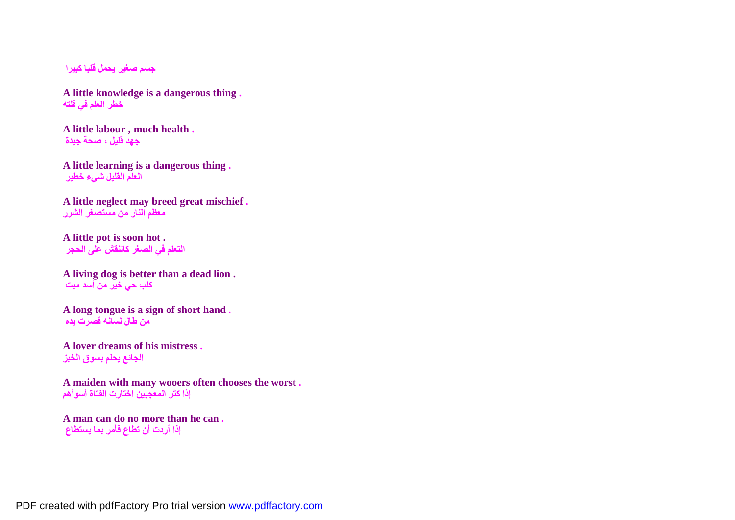**جسم صغیر یحمل قلبا كبیرا**

**A little knowledge is a dangerous thing . خطر العلم في قلتھ**

**A little labour , much health . جھد قلیل ، صحة جیدة**

**A little learning is a dangerous thing . العلم القلیل شيء خطیر**

**A little neglect may breed great mischief . معظم النار من مستصغر الشرر**

**A little pot is soon hot . التعلم في الصغر كالنقش على الحجر**

**A living dog is better than a dead lion . كلب حي خیر من أسد میت**

**A long tongue is a sign of short hand . من طال لسانھ قصرت یده**

**A lover dreams of his mistress . الجائع یحلم بسوق الخبز**

**A maiden with many wooers often chooses the worst . إذا كثر المعجبین اختارت الفتاة أسوأھم**

**A man can do no more than he can . إذا أردت أن تطاع فأمر بما یستطاع**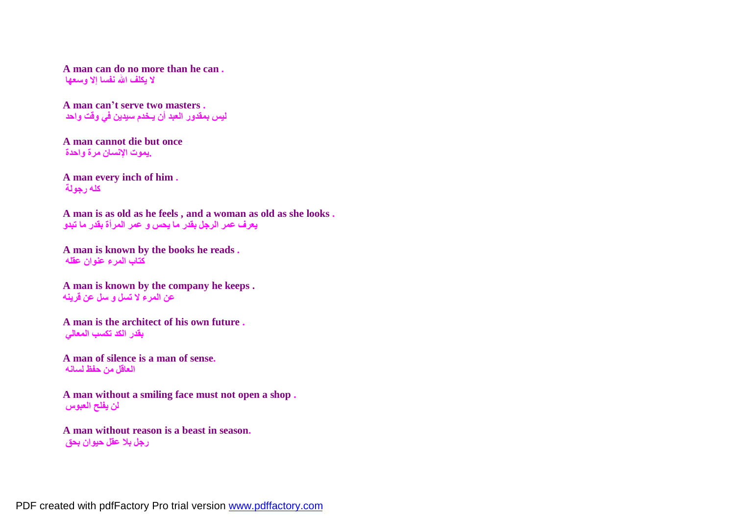**A man can do no more than he can . لا یكلف االله نفسا إلا وسعھا**

**A man can't serve two masters . لیس بمقدور العبد أن یـخدم سیدین في وقت واحد**

**A man cannot die but once .یموت الإنسان مرة واحدة**

**A man every inch of him . كلھ رجولة**

**A man is as old as he feels , and a woman as old as she looks . یعرف عمر الرجل بقدر ما یحس و عمر المرأة بقدر ما تبدو**

**A man is known by the books he reads . كتاب المرء عنوان عقلھ**

**A man is known by the company he keeps . عن المرء لا تسل و سل عن قرینھ**

**A man is the architect of his own future . بقدر الكد تكسب المعالي**

**A man of silence is a man of sense. العاقل من حفظ لسانھ**

**A man without a smiling face must not open a shop . لن یفلح العبوس**

**A man without reason is a beast in season. رجل بلا عقل حیوان بحق**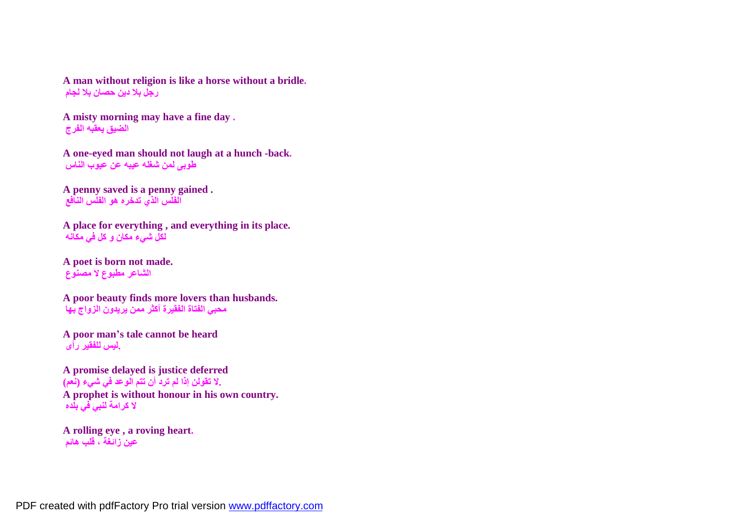**A man without religion is like a horse without a bridle. رجل بلا دین حصان بلا لجام**

**A misty morning may have a fine day . الضیق یعقبھ الفرج**

**A one-eyed man should not laugh at a hunch -back. طوبى لمن شغلھ عیبھ عن عیوب الناس**

**A penny saved is a penny gained . الفلس الذي تدخره ھو الفلس النافع**

**A place for everything , and everything in its place. لكل شيء مكان و كل في مكانھ**

**A poet is born not made. الشاعر مطبوع لا مصنوع**

**A poor beauty finds more lovers than husbands. محبي الفتاة الفقیرة أكثر ممن یریدون الزواج بھا**

**A poor man's tale cannot be heard .لیس للفقیر رأى**

**A promise delayed is justice deferred .لا تقولن إذا لم ترد أن تتم الوعد في شيء (نعم) A prophet is without honour in his own country. لا كرامة لنبي في بلده**

**A rolling eye , a roving heart. عین زائغة ، قلب ھائم**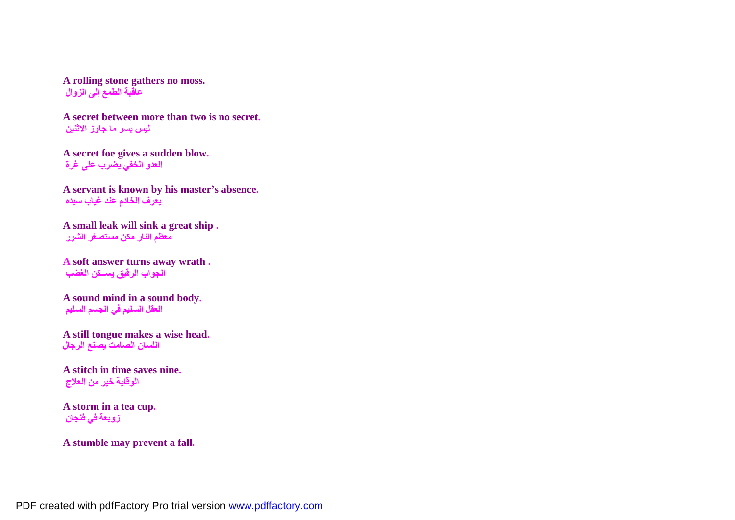**A rolling stone gathers no moss. عاقبة الطمع إلى الزوال**

**A secret between more than two is no secret. لیس بسر ما جاوز الاثنین**

**A secret foe gives a sudden blow. العدو الخفي یضرب على غرة**

**A servant is known by his master's absence. یعرف الخادم عند غیاب سیده**

**A small leak will sink a great ship . معظم النار مكن مستصغر الشرر**

**A soft answer turns away wrath . الجواب الرقیق یســكن الغضب**

**A sound mind in a sound body. العقل السلیم في الجسم السلیم**

**A still tongue makes a wise head. اللسان الصامت یصنع الرجال**

**A stitch in time saves nine. الوقایة خیر من العلاج**

**A storm in a tea cup. زوبعة في فنجان**

**A stumble may prevent a fall.**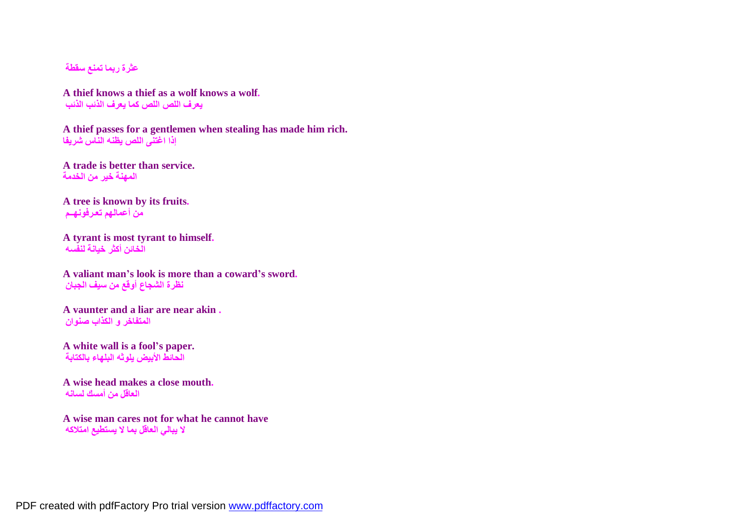**عثرة ربما تمنع سقطة**

**A thief knows a thief as a wolf knows a wolf. یعرف اللص اللص كما یعرف الذئب الذئب**

**A thief passes for a gentlemen when stealing has made him rich. إذا اغتنى اللص یظنھ الناس شریفا**

**A trade is better than service. المھنة خیر من الخدمة**

**A tree is known by its fruits. من أعمالھم تعـرفونھــم**

**A tyrant is most tyrant to himself. الخائن أكثر خیانة لنفسھ**

**A valiant man's look is more than a coward's sword. نظرة الشجاع أوقع من سیف الجبان**

**A vaunter and a liar are near akin . المتفاخر و الكذاب صنوان**

**A white wall is a fool's paper. الحائط الأبیض یلوثھ البلھاء بالكتابة**

**A wise head makes a close mouth. العاقل من أمسك لسانھ**

**A wise man cares not for what he cannot have لا یبالي العاقل بما لا یستطیع امتلاكھ**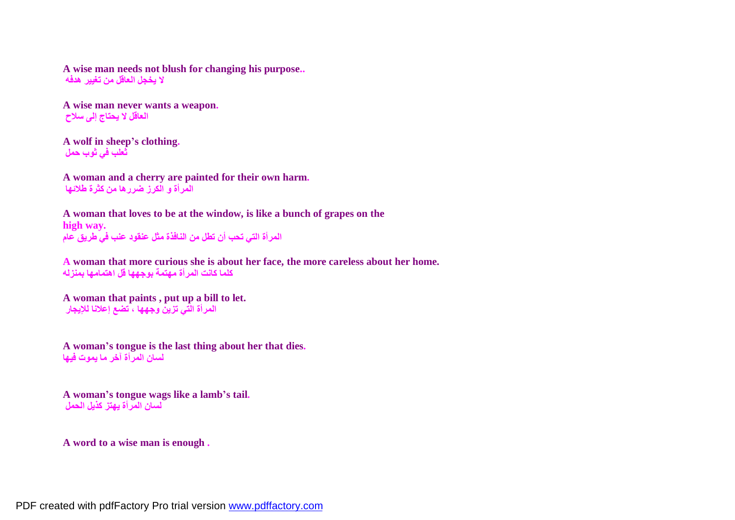**A wise man needs not blush for changing his purpose.. لا یخجل العاقل من تغییر ھدفھ**

**A wise man never wants a weapon. العاقل لا یحتاج إلى سلاح**

**A wolf in sheep's clothing. ثعلب في ثوب حمل**

**A woman and a cherry are painted for their own harm. المرأة و الكرز ضررھا من كثرة طلائھا**

**A woman that loves to be at the window, is like a bunch of grapes on the high way. المرأة التي تحب أن تطل من النافذة مثل عنقود عنب في طریق عام**

**A woman that more curious she is about her face, the more careless about her home. كلما كانت المرأة مھتمة بوجھھا قل اھتمامھا بمنزلھ**

**A woman that paints , put up a bill to let. المرأة التي تزین وجھھا ، تضع إعلانا للإیجار**

**A woman's tongue is the last thing about her that dies. لسان المرأة آخر ما یموت فیھا**

**A woman's tongue wags like a lamb's tail. لسان المرأة یھتز كذیل الحمل**

**A word to a wise man is enough .**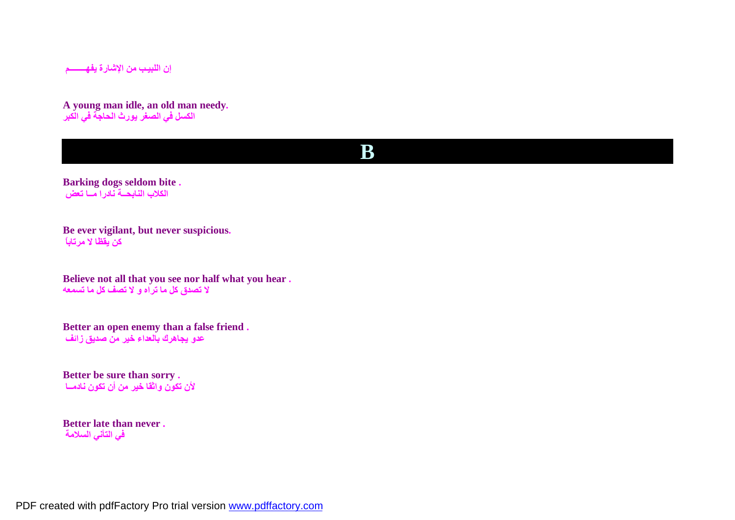**إن اللبیـب من الإشارة یفھــــــــم**

**A young man idle, an old man needy. الكسل في الصغر یورث الحاجة في الكبر** 

#### **B**

**Barking dogs seldom bite . الكلاب النابحــة نادرا مــا تعض**

**Be ever vigilant, but never suspicious. كن یقظا لا مرتاباً**

**Believe not all that you see nor half what you hear . لا تصدق كل ما تراه و لا تصف كل ما تسمعھ**

**Better an open enemy than a false friend . عدو یجاھرك بالعداء خیر من صدیق زائف**

**Better be sure than sorry . لأن تكون واثقا خیر من أن تكون نادمــا**

**Better late than never . في التأني السلامة**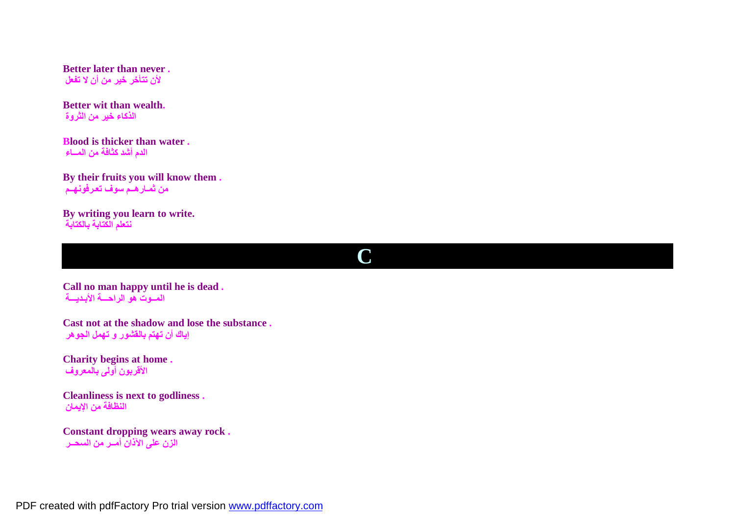**Better later than never . لأن تتأخر خیر من أن لا تفعل**

**Better wit than wealth. الذكاء خیر من الثروة**

**Blood is thicker than water . الدم أشد كثافة من المــاء**

**By their fruits you will know them . من ثمـارھــم سوف تعـرفونھــم**

**By writing you learn to write. نتعلم الكتابة بالكتابة**

**C** 

**Call no man happy until he is dead . المــوت ھو الراحـــة الأبـدیـــة**

**Cast not at the shadow and lose the substance . إیاك أن تھتم بالقشور و تھمل الجوھر**

**Charity begins at home . الأقربون أولى بالمعروف**

**Cleanliness is next to godliness . النظافة من الإیمان**

**Constant dropping wears away rock . الزن على الآذان أمــر من السحــر**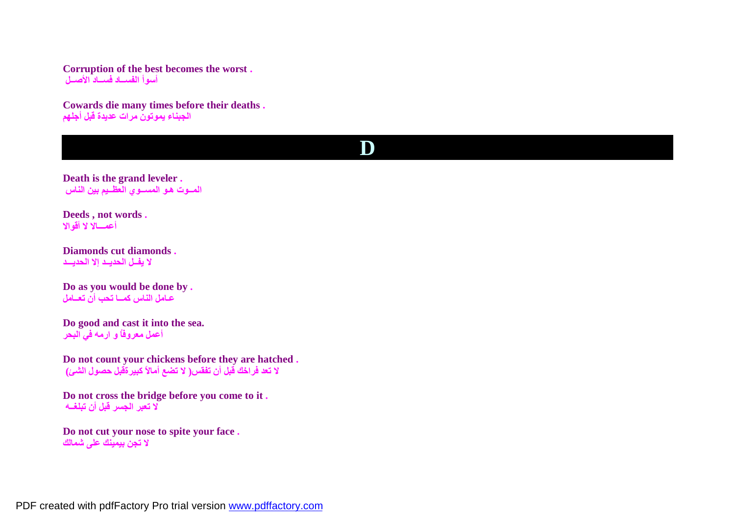**Corruption of the best becomes the worst . أسوأ الفســاد فســاد الأصــل**

**Cowards die many times before their deaths . الجبناء یموتون مرات عدیدة قبل أجلھم**

## **D**

**Death is the grand leveler . المــوت ھـو المســوي العظــیم بین الناس**

**Deeds , not words . أعمـــالا لا أقوالا**

**Diamonds cut diamonds . لا یفــل الحدیــد إلا الحدیـــد**

**Do as you would be done by . عـامل الناس كمــا تحب أن تعــامل**

**Do good and cast it into the sea. أعمل معروفاُ و ارمھ في البحر**

**Do not count your chickens before they are hatched . لا تعد فراخك قبل أن تفقس( لا تضع أمالاً كبیرةقبل حصول الشئ)**

**Do not cross the bridge before you come to it . لا تعبر الجسر قبل أن تبلغــھ**

**Do not cut your nose to spite your face . لا تجن بیمینك على شمالك**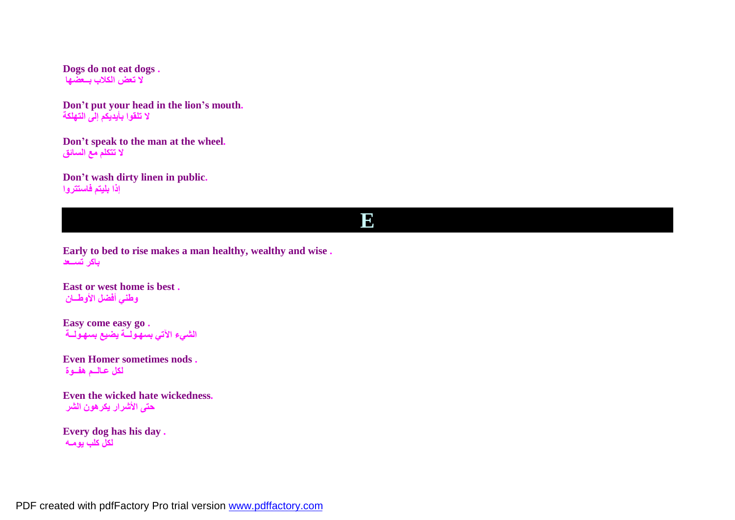**Dogs do not eat dogs . لا تعض الكلاب بــعضھا**

**Don't put your head in the lion's mouth. لا تلقوا بأیدیكم إلى التھلكة**

**Don't speak to the man at the wheel. لا تتكلم مع السائق**

**Don't wash dirty linen in public. إذا بلیتم فاستتروا**

#### **E**

**Early to bed to rise makes a man healthy, wealthy and wise . باكر تســعد**

**East or west home is best . وطني أفضل الأوطــان**

**Easy come easy go . الشيء الآتي بسھـولــة یضیع بسھـولــة**

**Even Homer sometimes nods . لكل عـالــم ھفــوة**

**Even the wicked hate wickedness. حتى الأشرار یكرھون الشر**

**Every dog has his day . لكل كلب یومـھ**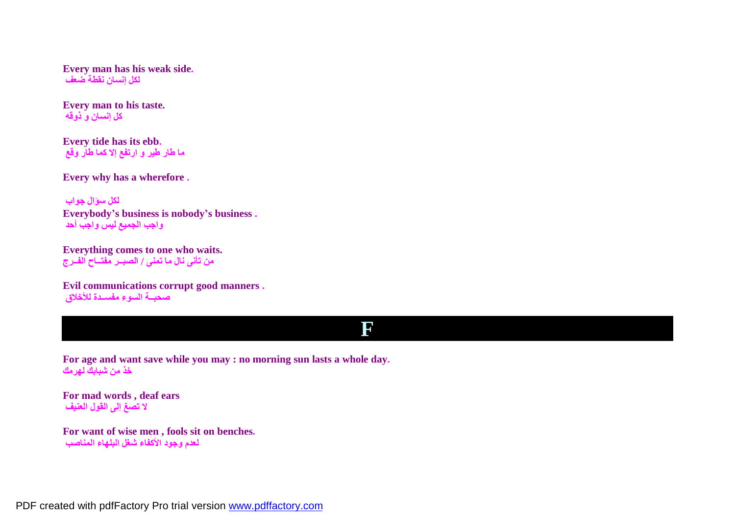**Every man has his weak side. لكل إنسان نقطة ضعف**

**Every man to his taste. كل إنسان و ذوقھ**

**Every tide has its ebb. ما طار طیر و ارتفع إلا كما طار وقع**

**Every why has a wherefore .**

**لكل سؤال جواب Everybody's business is nobody's business . واجب الجمیع لیس واجب أحد**

**Everything comes to one who waits. من تأنى نال ما تمنى / الصبــر مفتــاح الفــرج**

**Evil communications corrupt good manners . صحبــة السوء مفســدة للأخلاق**

#### **F**

**For age and want save while you may : no morning sun lasts a whole day. خذ من شبابك لھرمك**

**For mad words , deaf ears لا تصغ إلى القول العنیف**

**For want of wise men , fools sit on benches. لعدم وجود الأكفاء شغل البلھاء المناصب**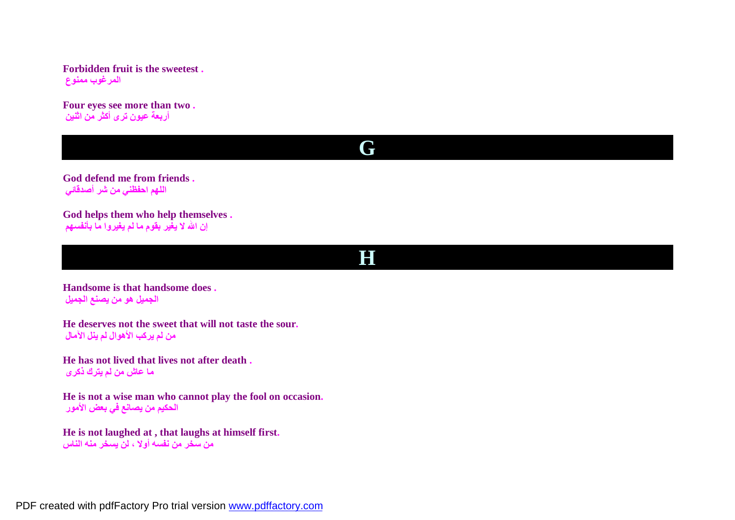**Forbidden fruit is the sweetest . المرغوب ممنوع**

**Four eyes see more than two . أربعة عیون ترى أكثر من اثنین**



**God defend me from friends . اللھم احفظني من شر أصدقائي**

**God helps them who help themselves . إن االله لا یغیر بقوم ما لم یغیروا ما بأنفسھم**

#### **H**

**Handsome is that handsome does . الجمیل ھو من یصنع الجمیل**

**He deserves not the sweet that will not taste the sour. من لم یركب الأھوال لم ینل الآمال**

**He has not lived that lives not after death . ما عاش من لم یترك ذكرى**

**He is not a wise man who cannot play the fool on occasion. الحكیم من یصانع في بعض الأمور**

**He is not laughed at , that laughs at himself first. من سخر من نفسھ أولا ، لن یسخر منھ الناس**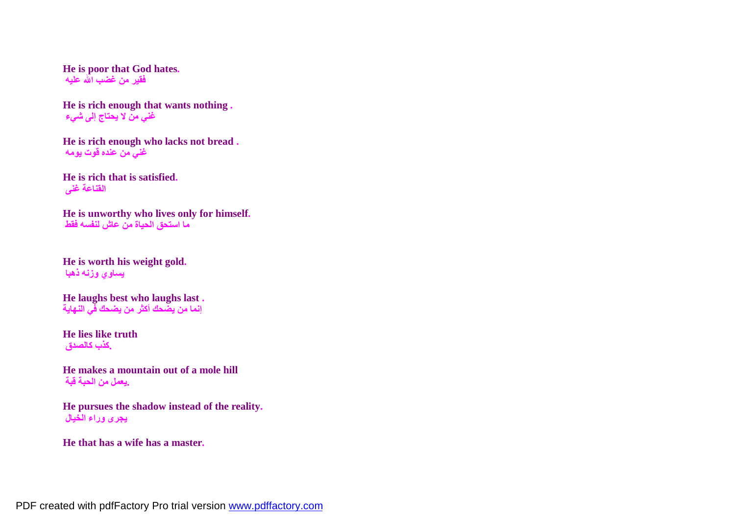**He is poor that God hates. فقیر من غضب االله علیھ**

**He is rich enough that wants nothing . غني من لا یحتاج إلى شيء**

**He is rich enough who lacks not bread . غني من عنده قوت یومھ**

**He is rich that is satisfied. القناعة غنى**

**He is unworthy who lives only for himself. ما استحق الحیاة من عاش لنفسھ فقط**

**He is worth his weight gold. یساوي وزنھ ذھبا**

**He laughs best who laughs last . إنما من یضحك أكثر من یضحك في النھایة**

**He lies like truth .كذب كالصدق**

**He makes a mountain out of a mole hill .یعمل من الحبة قبة**

**He pursues the shadow instead of the reality. یجرى وراء الخیال**

**He that has a wife has a master.**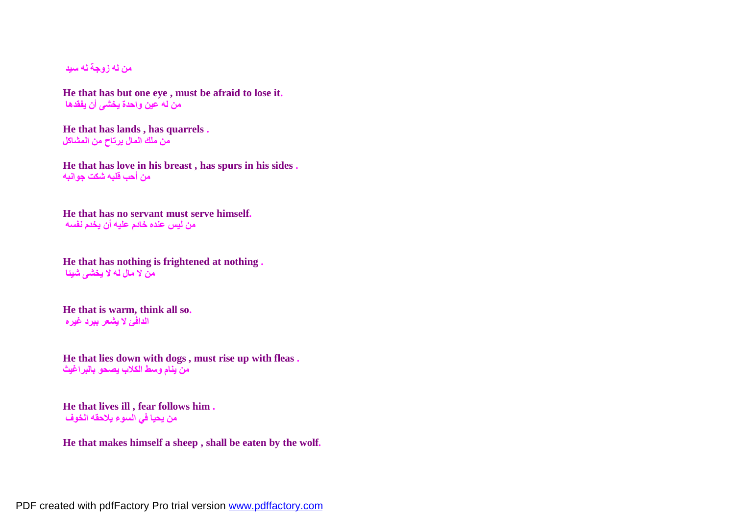**من لھ زوجة لھ سید**

**He that has but one eye , must be afraid to lose it. من لھ عین واحدة یخشى أن یفقدھا**

**He that has lands , has quarrels . من ملك المال یرتاح من المشاكل**

**He that has love in his breast , has spurs in his sides . من أحب قلبھ شكت جوانبھ**

**He that has no servant must serve himself. من لیس عنده خادم علیھ أن یخدم نفسھ**

**He that has nothing is frightened at nothing . من لا مال لھ لا یخشى شیئا**

**He that is warm, think all so. الدافئ لا یشعر ببرد غیره**

**He that lies down with dogs , must rise up with fleas . من ینام وسط الكلاب یصحو بالبراغیث**

**He that lives ill , fear follows him . من یحیا في السوء یلاحقھ الخوف**

**He that makes himself a sheep , shall be eaten by the wolf.**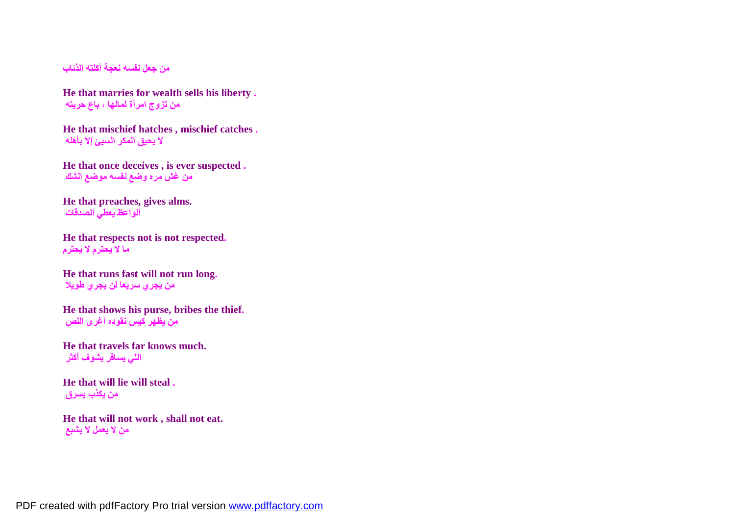**من جعل نفسھ نعجة أكلتھ الذئاب**

**He that marries for wealth sells his liberty . من تزوج امرأة لمالھا ، باع حریتھ**

**He that mischief hatches , mischief catches . لا یحیق المكر السیئ إلا بأھلھ**

**He that once deceives , is ever suspected . من غش مره وضع نفسھ موضع الشك**

**He that preaches, gives alms. الواعظ یعطي الصدقات**

**He that respects not is not respected. ما لا یحترم لا یحترم**

**He that runs fast will not run long. من یجري سریعا لن یجري طویلا**

**He that shows his purse, bribes the thief. من یظھر كیس نقوده أغرى اللص**

**He that travels far knows much. اللي یسافر یشوف أكثر**

**He that will lie will steal . من یكذب یسرق**

**He that will not work , shall not eat. من لا یعمل لا یشبع**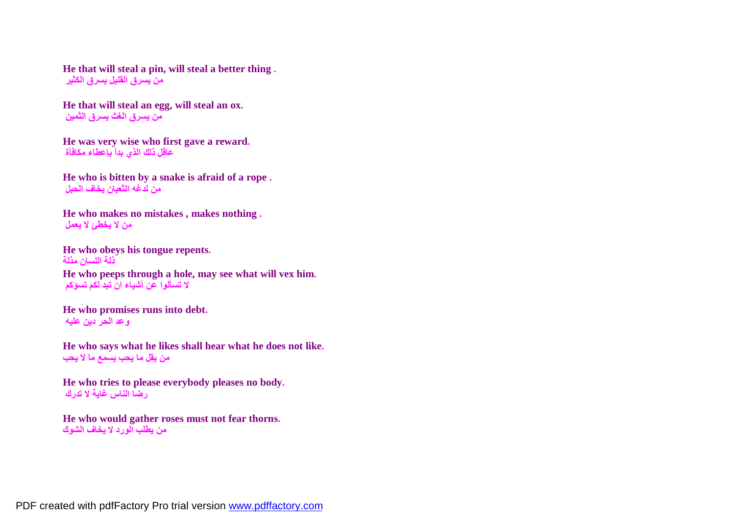**He that will steal a pin, will steal a better thing . من یسرق القلیل یسرق الكثیر**

**He that will steal an egg, will steal an ox. من یسرق الغث یسرق الثمین**

**He was very wise who first gave a reward. عاقل ذلك الذي بدأ بإعطاء مكافأة**

**He who is bitten by a snake is afraid of a rope . من لدغھ الثعبان یخاف الحبل**

**He who makes no mistakes , makes nothing . من لا یخطئ لا یعمل**

**He who obeys his tongue repents. ذلة اللسان مذلة He who peeps through a hole, may see what will vex him. لا تسألوا عن أشیاء ان تبد لكم تسؤكم**

**He who promises runs into debt. وعد الحر دین علیھ**

**He who says what he likes shall hear what he does not like. من یقل ما یحب یسمع ما لا یحب**

**He who tries to please everybody pleases no body. رضا الناس غایة لا تدرك**

**He who would gather roses must not fear thorns. من یطلب الورد لا یخاف الشوك**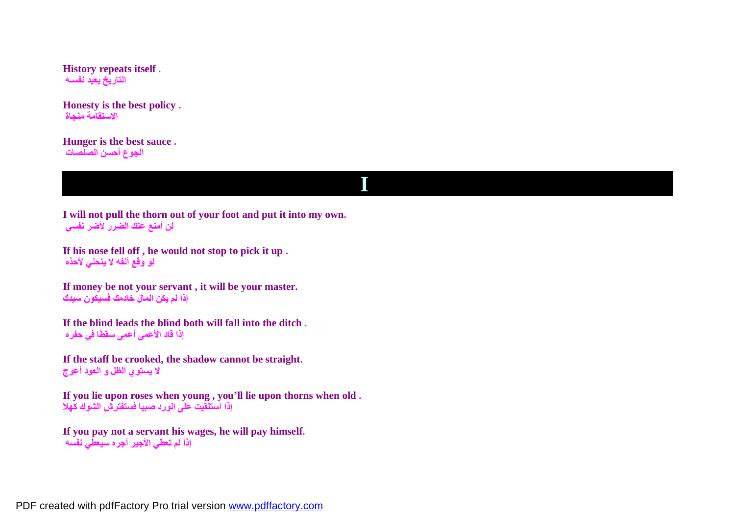**History repeats itself . التاریخ یعید نفسـھ**

**Honesty is the best policy . الاستقامة منجاة**

**Hunger is the best sauce . الجوع أحسن الصلصات**

**I** 

**I will not pull the thorn out of your foot and put it into my own. لن أمنع عنك الضرر لأضر نفسي**

**If his nose fell off , he would not stop to pick it up . لو وقع أنفھ لا ینحني لأحذه**

**If money be not your servant , it will be your master. إذا لم یكن المال خادمك فسیكون سیدك**

**If the blind leads the blind both will fall into the ditch . إذا قاد الأعمى أعمى سقطا في حفره**

**If the staff be crooked, the shadow cannot be straight. لا یستوي الظل و العود أعوج**

**If you lie upon roses when young , you'll lie upon thorns when old . إذا استلقیت على الورد صبیا فستفترش الشوك كھلا**

**If you pay not a servant his wages, he will pay himself. إذا لم تعطي الأجیر أجره سیعطي نفسھ**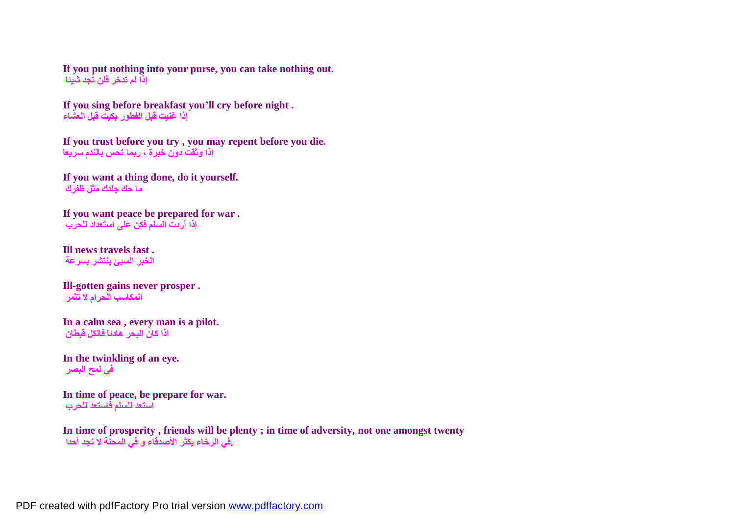**If you put nothing into your purse, you can take nothing out. إذا لم تدخر فلن تجد شیئا**

**If you sing before breakfast you'll cry before night . إذا غنیت قبل الفطور بكیت قبل العشاء**

**If you trust before you try , you may repent before you die. إذا وثقت دون خبرة ، ربما تحس بالندم سریعا**

**If you want a thing done, do it yourself. ما حك جلدك مثل ظفرك**

**If you want peace be prepared for war . إذا أردت السلم فكن على استعداد للحرب**

**Ill news travels fast . الخبر السیئ ینتشر بسرعة**

**Ill-gotten gains never prosper . المكاسب الحرام لا تثمر**

**In a calm sea , every man is a pilot. اذا كان البحر ھادئا فالكل قبطان**

**In the twinkling of an eye. في لمح البصر**

**In time of peace, be prepare for war. استعد للسلم فاستعد للحرب**

**In time of prosperity , friends will be plenty ; in time of adversity, not one amongst twenty .في الرخاء یكثر الأصدقاء و في المحنة لا نجد أحدا**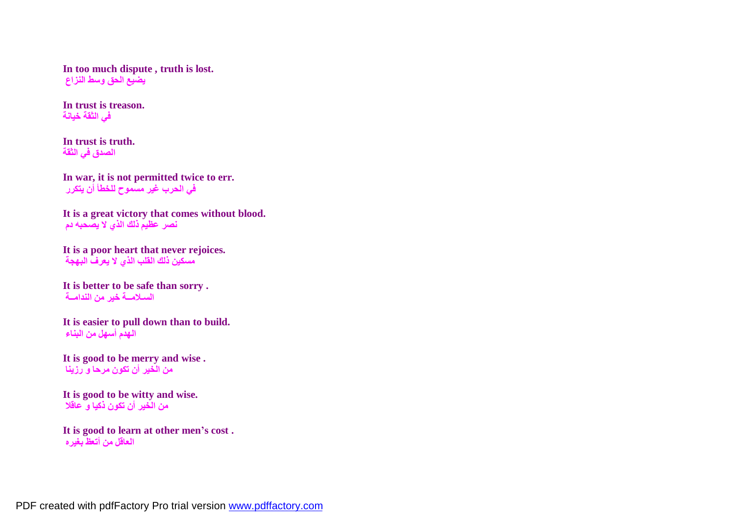**In too much dispute , truth is lost. یضیع الحق وسط النزاع**

**In trust is treason. في الثقة خیانة**

**In trust is truth. الصدق في الثقة**

**In war, it is not permitted twice to err. في الحرب غیر مسموح للخطأ أن یتكرر**

**It is a great victory that comes without blood. نصر عظیم ذلك الذي لا یصحبھ دم**

**It is a poor heart that never rejoices. مسكین ذلك القلب الذي لا یعرف البھجة**

**It is better to be safe than sorry . السـلامــة خیر من الندامــة**

**It is easier to pull down than to build. الھدم أسھل من البناء**

**It is good to be merry and wise . من الخیر أن تكون مرحا و رزینا**

**It is good to be witty and wise. من الخیر أن تكون ذكیا و عاقلا**

**It is good to learn at other men's cost . العاقل من أتعظ بغیره**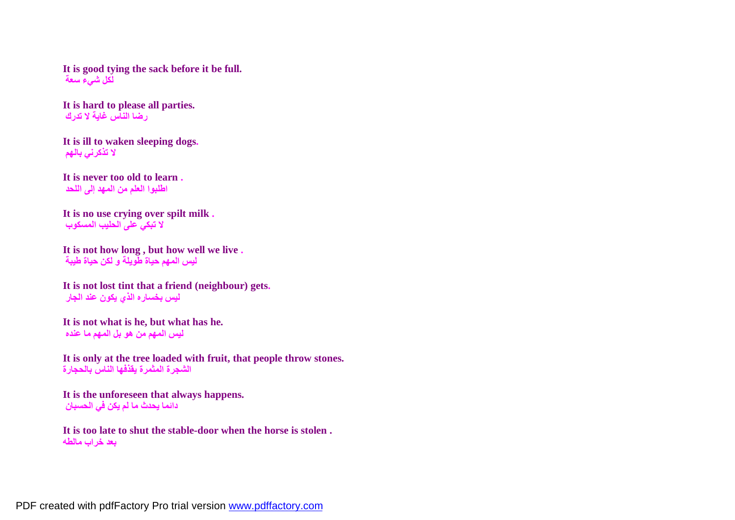**It is good tying the sack before it be full. لكل شيء سعة**

**It is hard to please all parties. رضا الناس غایة لا تدرك**

**It is ill to waken sleeping dogs. لا تذكرني بالھم**

**It is never too old to learn . اطلبوا العلم من المھد إلى اللحد**

**It is no use crying over spilt milk . لا تبكي على الحلیب المسكوب**

**It is not how long , but how well we live . لیس المھم حیاة طویلة و لكن حیاة طیبة**

**It is not lost tint that a friend (neighbour) gets. لیس بخساره الذي یكون عند الجار**

**It is not what is he, but what has he. لیس المھم من ھو بل المھم ما عنده**

**It is only at the tree loaded with fruit, that people throw stones. الشجرة المثمرة یقذفھا الناس بالحجارة**

**It is the unforeseen that always happens. دائما یحدث ما لم یكن في الحسبان**

**It is too late to shut the stable-door when the horse is stolen . بعد خراب مالطھ**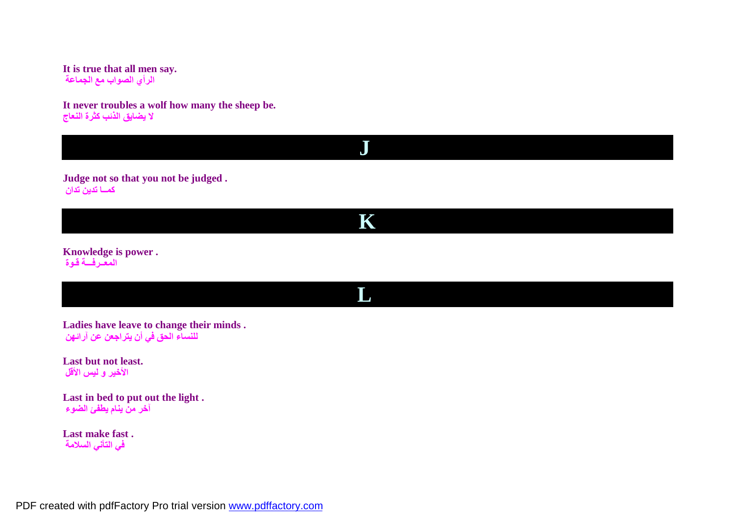**It is true that all men say. الرأي الصواب مع الجماعة**

**It never troubles a wolf how many the sheep be. لا یضایق الذئب كثرة النعاج**

**Judge not so that you not be judged . كمــا تدین تدان**

**K**

**L** 

**J** 

**Knowledge is power . المعــرفـــة قـوة**

**Ladies have leave to change their minds . للنساء الحق في أن یتراجعن عن آرائھن**

**Last but not least. الأخیر و لیس الأقل**

**Last in bed to put out the light . آخر من ینام یطفئ الضوء**

**Last make fast . في التأني السلامة**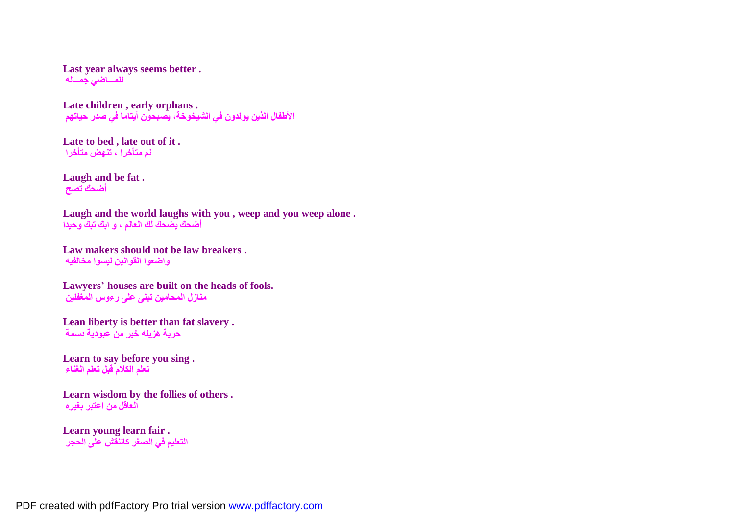**Last year always seems better . للمـــاضي جمــالھ**

**Late children , early orphans . الأطفال الذین یولدون في الشیخوخة، یصبحون أیتاما في صدر حیاتھم**

**Late to bed , late out of it . نم متأخرا ، تنھض متأخرا**

**Laugh and be fat . أضحك تصح**

**Laugh and the world laughs with you , weep and you weep alone . أضحك یضحك لك العالم ، و ابك تبك وحیدا**

**Law makers should not be law breakers . واضعوا القوانین لیسوا مخالفیھ**

**Lawyers' houses are built on the heads of fools. منازل المحامین تبنى على رءوس المغفلین**

**Lean liberty is better than fat slavery . حریة ھزیلھ خیر من عبودیة دسمة**

**Learn to say before you sing . تعلم الكلام قبل تعلم الغناء**

**Learn wisdom by the follies of others . العاقل من اعتبر بغیره**

**Learn young learn fair . التعلیم في الصغر كالنقش على الحجر**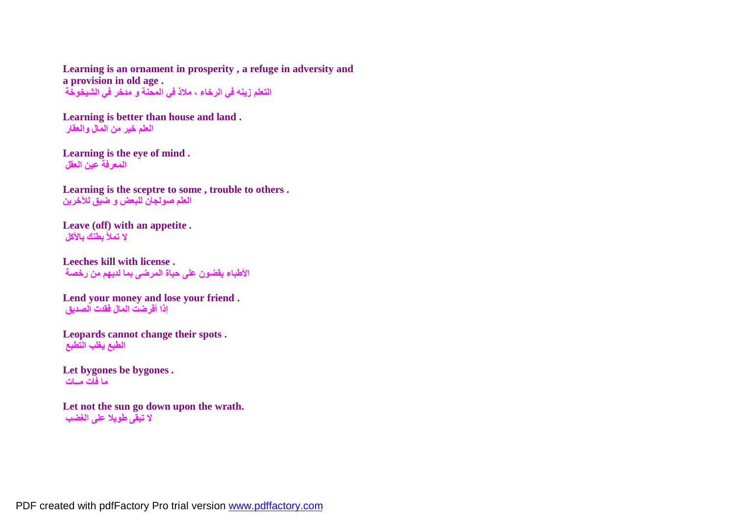**Learning is an ornament in prosperity , a refuge in adversity and a provision in old age . التعلم زینھ في الرخاء ، ملاذ في المحنة و مدخر في الشیخوخة**

**Learning is better than house and land . العلم خیر من المال والعقار**

**Learning is the eye of mind . المعرفة عین العقل**

**Learning is the sceptre to some , trouble to others . العلم صولجان للبعض و ضیق للآخرین**

**Leave (off) with an appetite . لا تملأ بطنك بالأكل**

**Leeches kill with license . الأطباء یقضون على حیاة المرضى بما لدیھم من رخصة**

**Lend your money and lose your friend . إذا أقرضت المال فقدت الصدیق**

**Leopards cannot change their spots . الطبع یغلب التطبع**

Let bygones be bygones. **ما فات مــات**

**Let not the sun go down upon the wrath. لا تبقى طویلا على الغضب**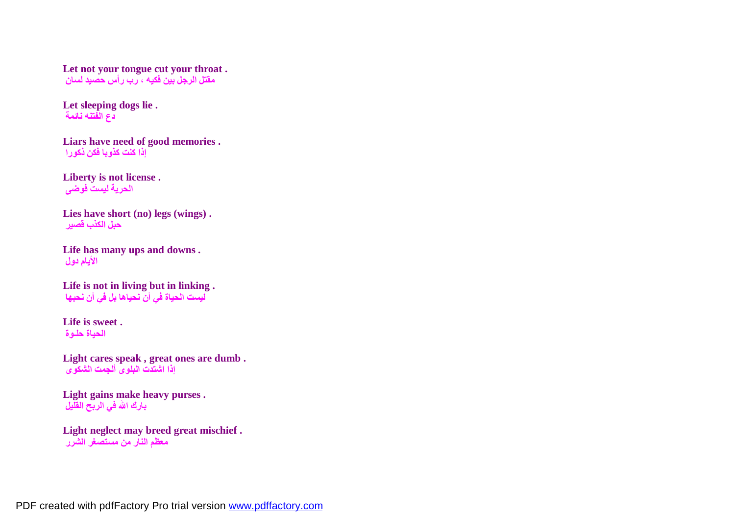**Let not your tongue cut your throat . مقتل الرجل بین فكیھ ، رب رأس حصید لسان**

**Let sleeping dogs lie . دع الفتنھ نائمة**

**Liars have need of good memories . إذا كنت كذوبا فكن ذكورا**

**Liberty is not license . الحریة لیست فوضى**

**Lies have short (no) legs (wings) . حبل الكذب قصیر**

**Life has many ups and downs . الأیام دول**

**Life is not in living but in linking . لیست الحیاة في أن نحیاھا بل في أن نحبھا**

**Life is sweet . الحیاة حلـوة**

**Light cares speak , great ones are dumb . إذا اشتدت البلوى ألجمت الشكوى**

**Light gains make heavy purses . بارك االله في الربح القلیل**

**Light neglect may breed great mischief . معظم النار من مستصغر الشرر**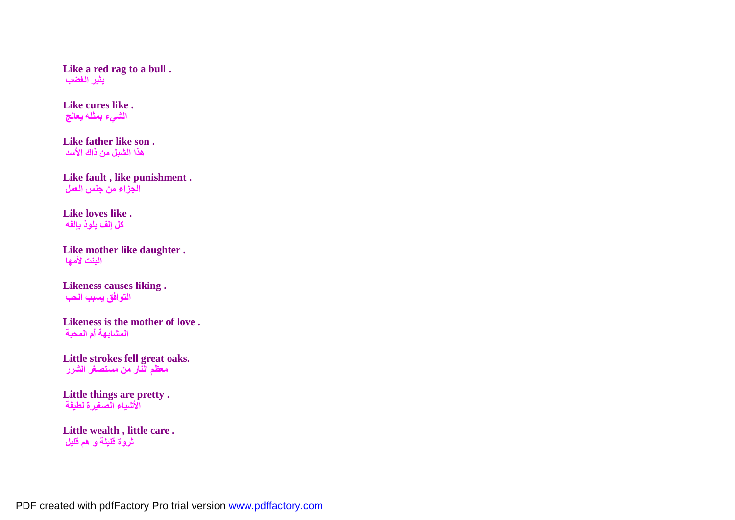**Like a red rag to a bull . یثیر الغضب**

**Like cures like . الشيء بمثلھ یعالج**

**Like father like son . ھذا الشبل من ذاك الأسد**

**Like fault , like punishment . الجزاء من جنس العمل**

**Like loves like . كل إلف یلوذ بإلفھ**

**Like mother like daughter . البنت لأمھا**

**Likeness causes liking . التوافق یسبب الحب**

**Likeness is the mother of love . المشابھة أًم المحبة**

**Little strokes fell great oaks. معظم النار من مستصغر الشرر**

**Little things are pretty . الأشیاء الصغیرة لطیفة**

**Little wealth , little care . ثروة قلیلة و ھم قلیل**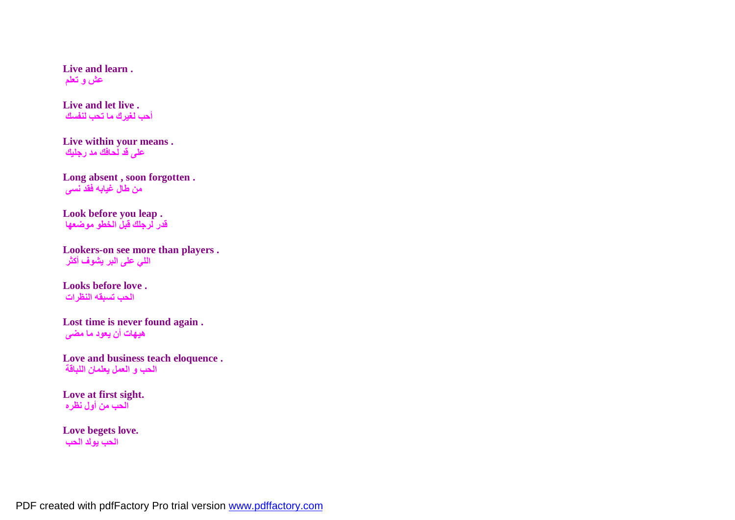**Live and learn . عش و تعلم**

**Live and let live . أحب لغیرك ما تحب لنفسك**

**Live within your means . على قد لحافك مد رجلیك**

**Long absent , soon forgotten . من طال غیابھ فقد نسى**

**Look before you leap . قدر لرجلك قبل الخطو موضعھا**

**Lookers-on see more than players . اللي على البر یشوف أكثر**

**Looks before love . الحب تسبقھ النظرات**

**Lost time is never found again . ھیھات أن یعود ما مضى**

**Love and business teach eloquence . الحب و العمل یعلمان اللباقة**

**Love at first sight. الحب من أول نظره**

**Love begets love. الحب یولد الحب**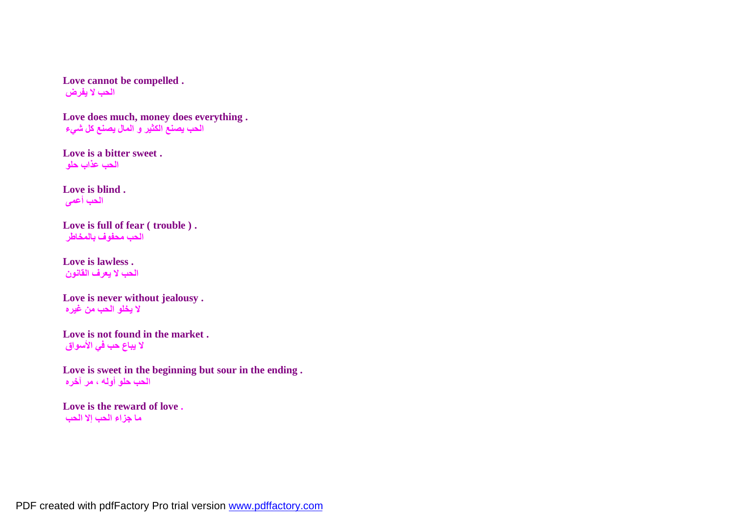**Love cannot be compelled . الحب لا یفرض**

**Love does much, money does everything . الحب یصنع الكثیر و المال یصنع كل شيء**

**Love is a bitter sweet . الحب عذاب حلو**

**Love is blind . الحب أعمى**

**Love is full of fear ( trouble ) . الحب محفوف بالمخاطر**

**Love is lawless . الحب لا یعرف القانون**

**Love is never without jealousy . لا یخلو الحب من غیره**

**Love is not found in the market . لا یباع حب في الأسواق**

**Love is sweet in the beginning but sour in the ending . الحب حلو أولھ ، مر آخره**

**Love is the reward of love . ما جزاء الحب إلا الحب**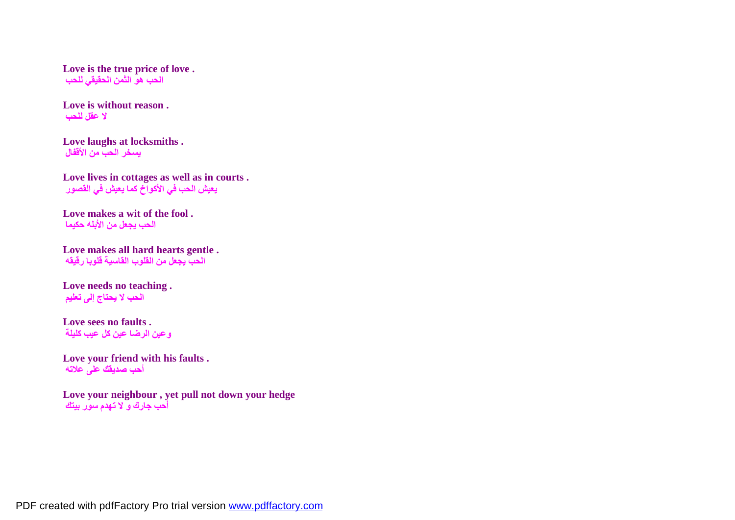**Love is the true price of love . الحب ھو الثمن الحقیقي للحب**

**Love is without reason . لا عقل للحب**

**Love laughs at locksmiths . یسخر الحب من الأقفال**

**Love lives in cottages as well as in courts . یعیش الحب في الأكواخ كما یعیش في القصور**

**Love makes a wit of the fool . الحب یجعل من الأبلھ حكیما**

**Love makes all hard hearts gentle . الحب یجعل من القلوب القاسیة قلوبا رقیقھ**

**Love needs no teaching . الحب لا یحتاج إلى تعلیم**

**Love sees no faults . وعین الرضا عین كل عیب كلیلة**

**Love your friend with his faults . أحب صدیقك على علاتھ**

**Love your neighbour , yet pull not down your hedge أحب جارك و لا تھدم سور بیتك**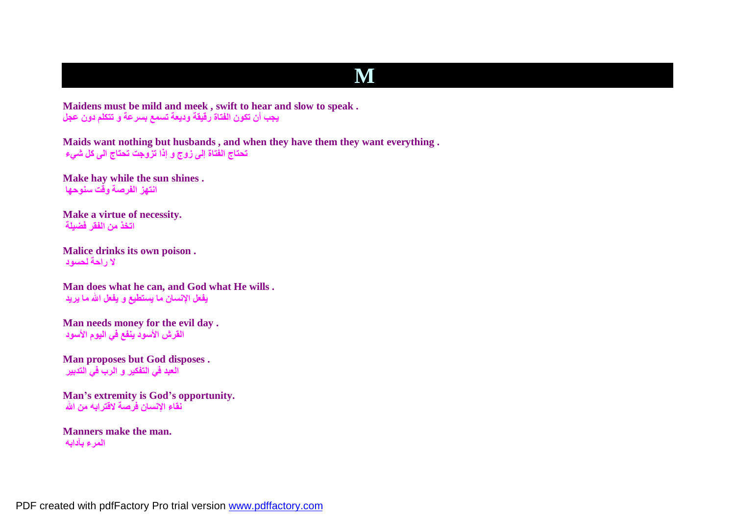## **M**

**Maidens must be mild and meek , swift to hear and slow to speak . یجب أن تكون الفتاة رقیقة ودیعة تسمع بسرعة و تتكلم دون عجل**

**Maids want nothing but husbands , and when they have them they want everything . تحتاج الفتاة إلى زوج و إذا تزوجت تحتاج الى كل شيء**

**Make hay while the sun shines . انتھز الفرصة وقت سنوحھا**

**Make a virtue of necessity. اتخذ من الفقر فضیلة**

**Malice drinks its own poison . لا راحة لحسود**

**Man does what he can, and God what He wills . یفعل الإنسان ما یستطیع و یفعل االله ما یرید**

**Man needs money for the evil day . القرش الأسود ینفع في الیوم الأسود**

**Man proposes but God disposes . العبد في التفكیر و الرب في التدبیر**

**Man's extremity is God's opportunity. نقاء الإنسان فرصة لاقترابھ من االله**

**Manners make the man. المرء بآدابھ**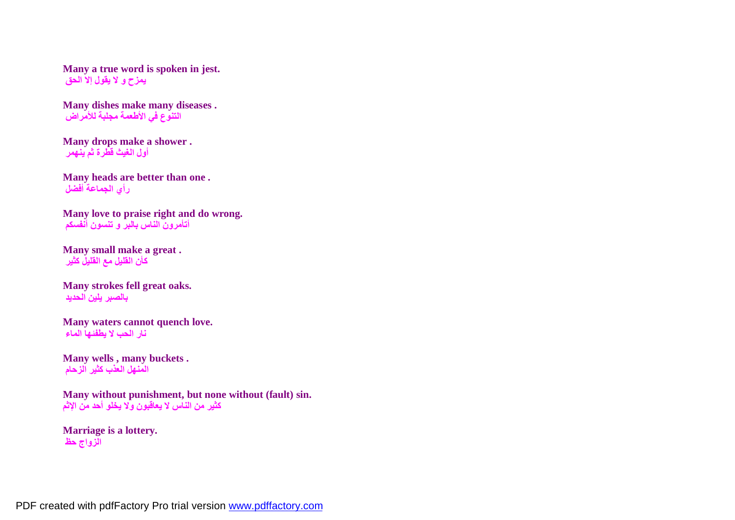**Many a true word is spoken in jest. یمزح و لا یقول إلا الحق**

**Many dishes make many diseases . التنوع في الأطعمة مجلبة للأمراض**

**Many drops make a shower . أول الغیث قطرة ثم ینھمر**

**Many heads are better than one . رأي الجماعة أفضل**

**Many love to praise right and do wrong. أتأمرون الناس بالبر و تنسون أنفسكم**

**Many small make a great . كأن القلیل مع القلیل كثیر**

**Many strokes fell great oaks. بالصبر یلین الحدید**

**Many waters cannot quench love. نار الحب لا یطفئھا الماء**

**Many wells , many buckets . المنھل العذب كثیر الزحام**

**Many without punishment, but none without (fault) sin. كثیر من الناس لا یعاقبون ولا یخلو أحد من الإثم**

**Marriage is a lottery. الزواج حظ**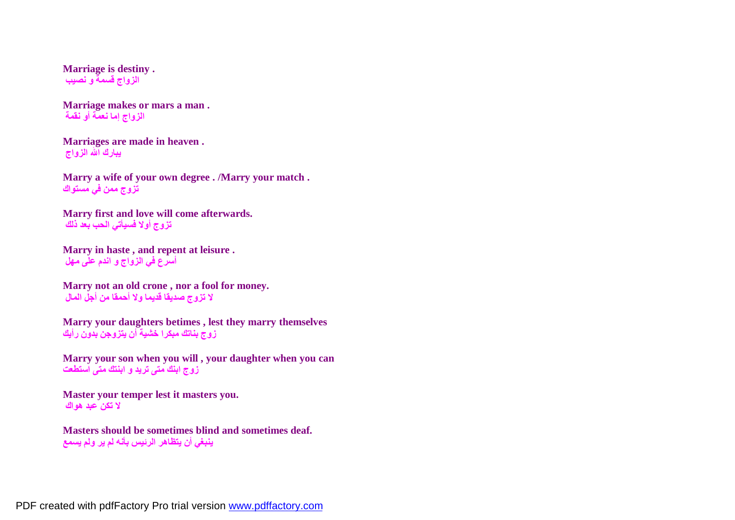**Marriage is destiny . الزواج قسمة و نصیب**

**Marriage makes or mars a man . الزواج إما نعمة أو نقمة**

**Marriages are made in heaven . یبارك االله الزواج**

**Marry a wife of your own degree . /Marry your match . تزوج ممن في مستواك**

**Marry first and love will come afterwards. تزوج أولا فسیأتي الحب بعد ذلك**

**Marry in haste , and repent at leisure . أسرع في الزواج و اندم على مھل**

**Marry not an old crone , nor a fool for money. لا تزوج صدیقا قدیما ولا أحمقا من أجل المال**

**Marry your daughters betimes , lest they marry themselves زوج بناتك مبكرا خشیة أن یتزوجن بدون رأیك**

**Marry your son when you will , your daughter when you can زوج ابنك متى ترید و ابنتك متى استطعت**

**Master your temper lest it masters you. لا تكن عبد ھواك**

**Masters should be sometimes blind and sometimes deaf. ینبغي أن یتظاھر الرئیس بأنھ لم یر ولم یسمع**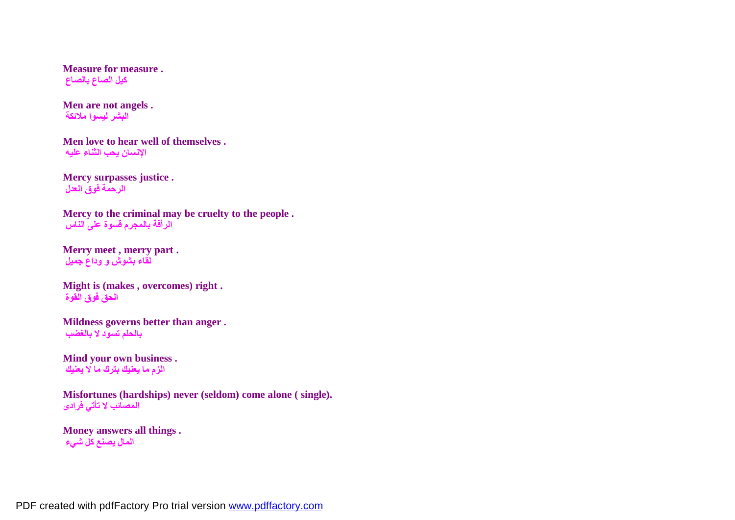**Measure for measure . كیل الصاع بالصاع**

**Men are not angels . البشر لیسوا ملائكة**

**Men love to hear well of themselves . الإنسان یحب الثناء علیھ**

**Mercy surpasses justice . الرحمة فوق العدل**

**Mercy to the criminal may be cruelty to the people . الرأفة بالمجرم قسوة على الناس**

**Merry meet , merry part . لقاء بشوش و وداع جمیل**

**Might is (makes , overcomes) right . الحق فوق القوة**

**Mildness governs better than anger . بالحلم تسود لا بالغضب**

**Mind your own business . الزم ما یعنیك بترك ما لا یعنیك**

**Misfortunes (hardships) never (seldom) come alone ( single). المصائب لا تأتي فرادى**

**Money answers all things . المال یصنع كل شيء**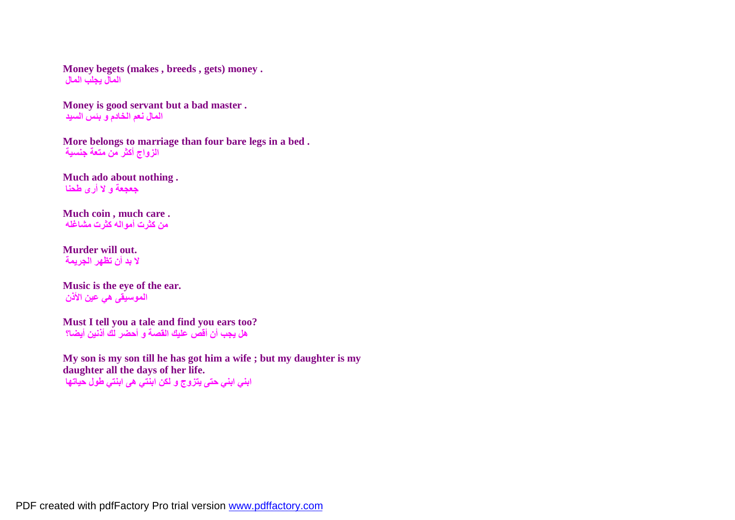**Money begets (makes , breeds , gets) money . المال یجلب المال**

**Money is good servant but a bad master . المال نعم الخادم و بئس السید**

**More belongs to marriage than four bare legs in a bed . الزواج أكثر من متعة جنسیة**

**Much ado about nothing . جعجعة و لا أرى طحنا**

**Much coin , much care . من كثرت أموالھ كثرت مشاغلھ**

**Murder will out. لا بد أن تظھر الجریمة**

**Music is the eye of the ear. الموسیقى ھي عین الأذن**

**Must I tell you a tale and find you ears too? ھل یجب أن أقص علیك القصة و أحضر لك أذنین أیضا؟**

**My son is my son till he has got him a wife ; but my daughter is my daughter all the days of her life. ابني ابني حتى یتزوج و لكن ابنتي ھى ابنتي طول حیاتھا**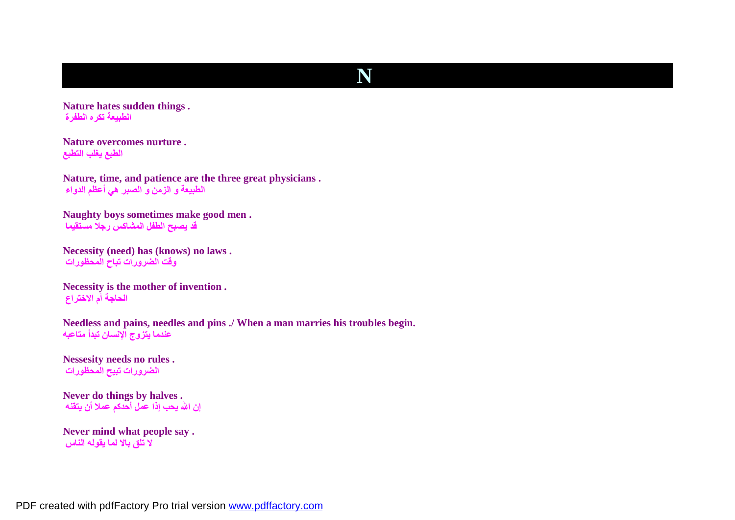## **N**

**Nature hates sudden things . الطبیعة تكره الطفرة**

**Nature overcomes nurture . الطبع یغلب التطبع**

**Nature, time, and patience are the three great physicians . الطبیعة و الزمن و الصبر ھي أعظم الدواء**

**Naughty boys sometimes make good men . قد یصبح الطفل المشاكس رجلا مستقیما**

**Necessity (need) has (knows) no laws . وقت الضرورات تباح المحظورات**

**Necessity is the mother of invention . الحاجة أم الاختراع**

**Needless and pains, needles and pins ./ When a man marries his troubles begin. عندما یتزوج الإنسان تبدأ متاعبھ**

**Nessesity needs no rules . الضرورات تبیح المحظورات**

**Never do things by halves . إن االله یحب إذا عمل أحدكم عملا أن یتقنھ**

**Never mind what people say . لا تلق بالا لما یقولھ الناس**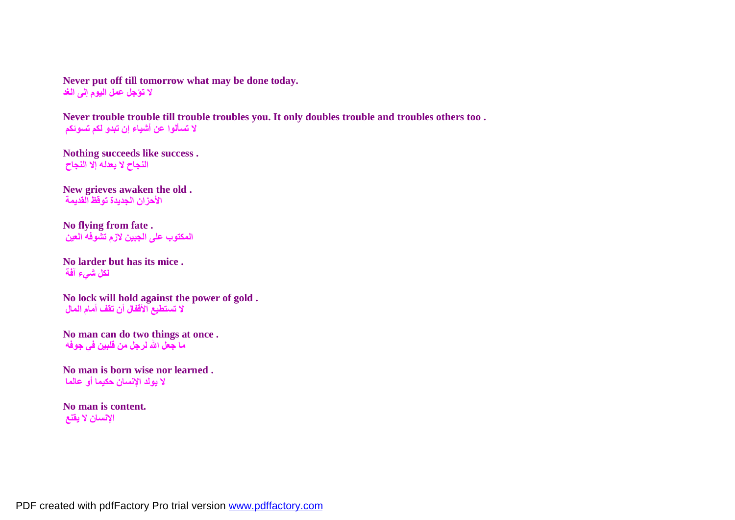**Never put off till tomorrow what may be done today. لا تؤجل عمل الیوم إلى الغد**

**Never trouble trouble till trouble troubles you. It only doubles trouble and troubles others too . لا تسألوا عن أشیاء إن تبدو لكم تسوئكم**

**Nothing succeeds like success . النجاح لا یعدلھ إلا النجاح**

**New grieves awaken the old . الأحزان الجدیدة توقظ القدیمة**

**No flying from fate . المكتوب على الجبین لازم تشوفھ العین**

**No larder but has its mice . لكل شيء آفة**

**No lock will hold against the power of gold . لا تستطیع الأقفال أن تقف أمام المال**

**No man can do two things at once . ما جعل االله لرجل من قلبین في جوفھ**

**No man is born wise nor learned . لا یولد الإنسان حكیما أو عالما**

**No man is content. الإنسان لا یقنع**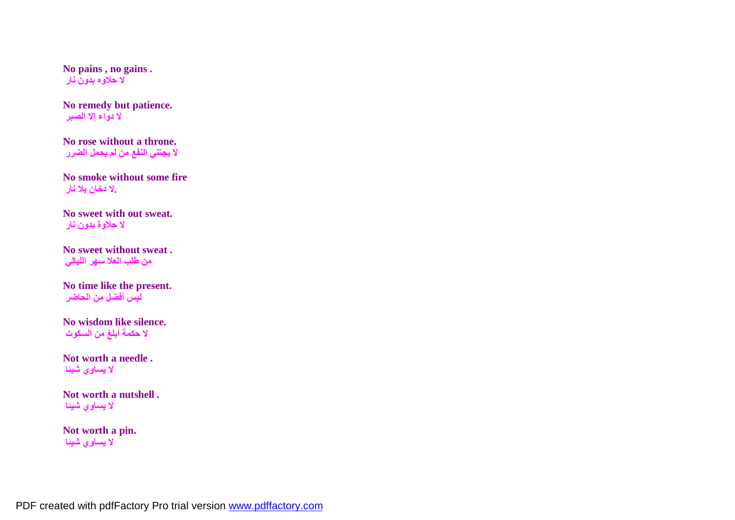**No pains , no gains . لا حلاوه بدون نار**

**No remedy but patience. لا دواء إلا الصبر**

**No rose without a throne. لا یجتني النفع من لم یحمل الضرر**

**No smoke without some fire .لا دخان بلا نار**

**No sweet with out sweat. لا حلاوة بدون نار**

**No sweet without sweat . من طلب العلا سھر اللیالي**

**No time like the present. لیس أفضل من الحاضر**

**No wisdom like silence. لا حكمة أبلغ من السكوت**

**Not worth a needle . لا یساوي شیئا**

**Not worth a nutshell . لا یساوي شیئا**

**Not worth a pin. لا یساوي شیئا**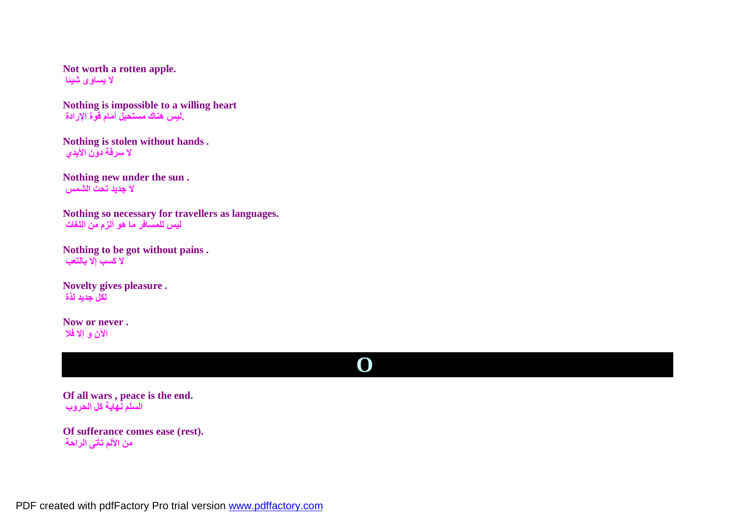**Not worth a rotten apple. لا یساوى شیئا**

**Nothing is impossible to a willing heart .لیس ھناك مستحیل أمام قوة الإرادة**

**Nothing is stolen without hands . لا سرقة دون الأیدي**

**Nothing new under the sun . لا جدید تحت الشمس**

**Nothing so necessary for travellers as languages. لیس للمسافر ما ھو ألزم من اللغات**

**Nothing to be got without pains . لا كسب إلا بالتعب**

**Novelty gives pleasure . لكل جدید لذة**

**Now or never . الآن و إلا فلا**

# **O**

**Of all wars , peace is the end. السلم نھایة كل الحروب**

**Of sufferance comes ease (rest). من الألم تأتى الراحة**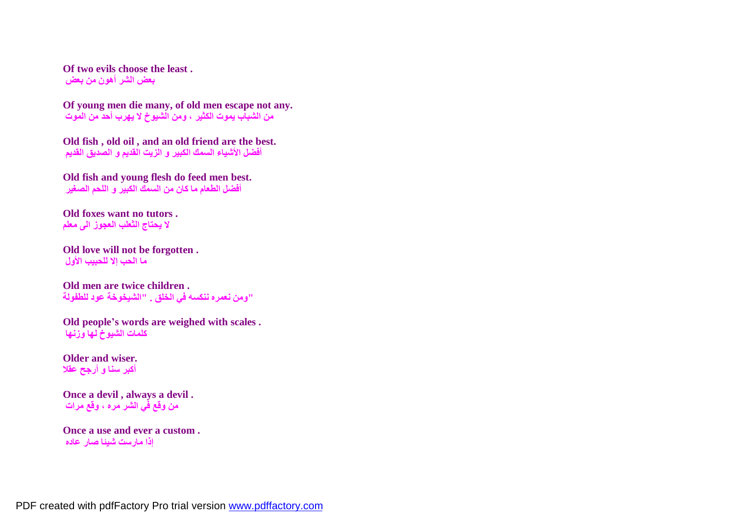**Of two evils choose the least . بعض الشر أھون من بعض**

**Of young men die many, of old men escape not any. من الشباب یموت الكثیر ، ومن الشیوخ لا یھرب أحد من الموت**

**Old fish , old oil , and an old friend are the best. أفضل الأشیاء السمك الكبیر و الزیت القدیم و الصدیق القدیم**

**Old fish and young flesh do feed men best. أفضل الطعام ما كان من السمك الكبیر و اللحم الصغیر**

**Old foxes want no tutors . لا یحتاج الثعلب العجوز الى معلم**

**Old love will not be forgotten . ما الحب إلا للحبیب الأول**

**Old men are twice children . "ومن نعمره ننكسھ في الخلق . "الشیخوخة عود للطفولة**

**Old people's words are weighed with scales . كلمات الشیوخ لھا وزنھا**

**Older and wiser. أكبر سنا و أرجح عقلا**

**Once a devil , always a devil . من وقع في الشر مره ، وقع مرات**

**Once a use and ever a custom . إذا مارست شیئا صار عاده**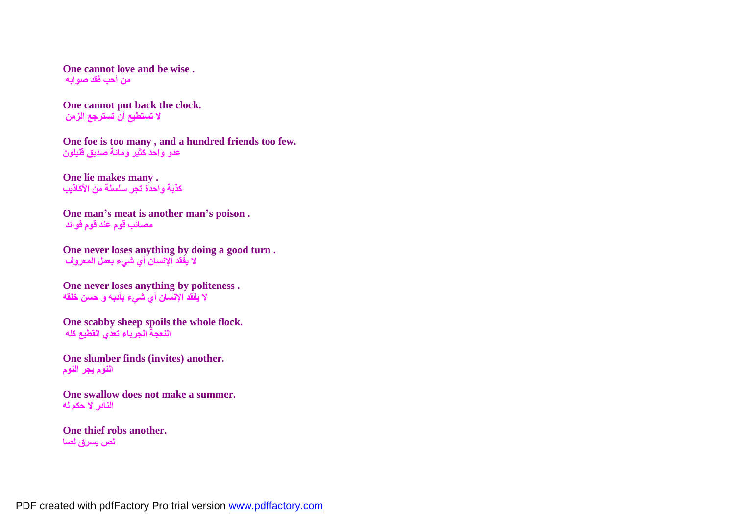**One cannot love and be wise . من أحب فقد صوابھ**

**One cannot put back the clock. لا تستطیع أن تسترجع الزمن**

**One foe is too many , and a hundred friends too few. عدو واحد كثیر ومائة صدیق قلیلون**

**One lie makes many . كذبة واحدة تجر سلسلة من الأكاذیب**

**One man's meat is another man's poison . مصائب قوم عند قوم فوائد**

**One never loses anything by doing a good turn . لا یفقد الإنسان أي شيء بعمل المعروف**

**One never loses anything by politeness . لا یفقد الإنسان أي شيء بأدبھ و حسن خلقھ**

**One scabby sheep spoils the whole flock. النعجة الجرباء تعدي القطیع كلھ**

**One slumber finds (invites) another. النوم یجر النوم**

**One swallow does not make a summer. النادر لا حكم لھ**

**One thief robs another. لص یسرق لصا**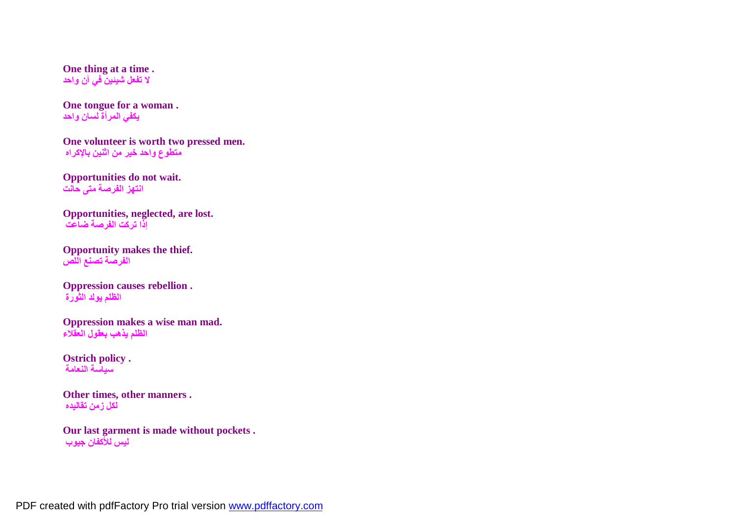**One thing at a time . لا تفعل شیئین في آن واحد**

**One tongue for a woman . یكفي المرأة لسان واحد**

**One volunteer is worth two pressed men. متطوع واحد خیر من اثنین بالإكراه**

**Opportunities do not wait. انتھز الفرصة متى حانت**

**Opportunities, neglected, are lost. إذا تركت الفرصة ضاعت**

**Opportunity makes the thief. الفرصة تصنع اللص**

**Oppression causes rebellion . الظلم یولد الثورة**

**Oppression makes a wise man mad. الظلم یذھب بعقول العقلاء**

**Ostrich policy . سیاسة النعامة**

**Other times, other manners . لكل زمن تقالیده**

**Our last garment is made without pockets . لیس للأكفان جیوب**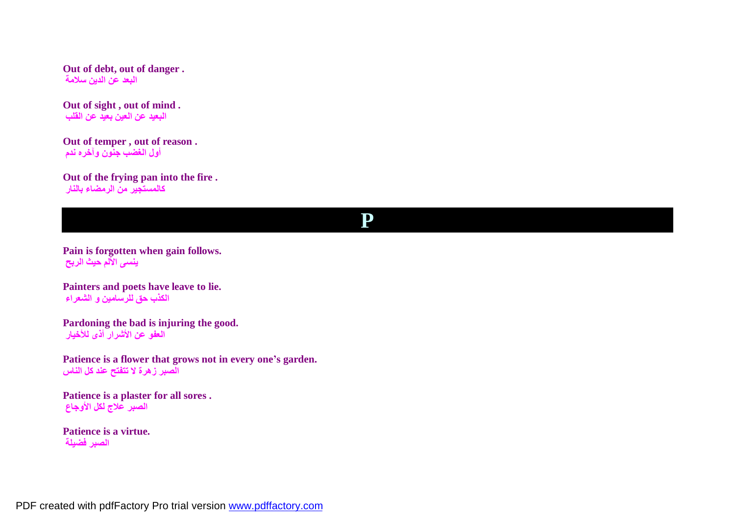**Out of debt, out of danger . البعد عن الدین سلامة**

**Out of sight , out of mind . البعید عن العین بعید عن القلب**

**Out of temper , out of reason . أول الغضب جنون وآخره ندم**

**Out of the frying pan into the fire . كالمستجیر من الرمضاء بالنار**

#### **P**

**Pain is forgotten when gain follows. ینسى الألم حیث الربح**

**Painters and poets have leave to lie. الكذب حق للرسامین و الشعراء**

**Pardoning the bad is injuring the good. العفو عن الأشرار أذى للأخیار**

**Patience is a flower that grows not in every one's garden. الصبر زھرة لا تتفتح عند كل الناس**

**Patience is a plaster for all sores . الصبر علاج لكل الأوجاع**

**Patience is a virtue. الصبر فضیلة**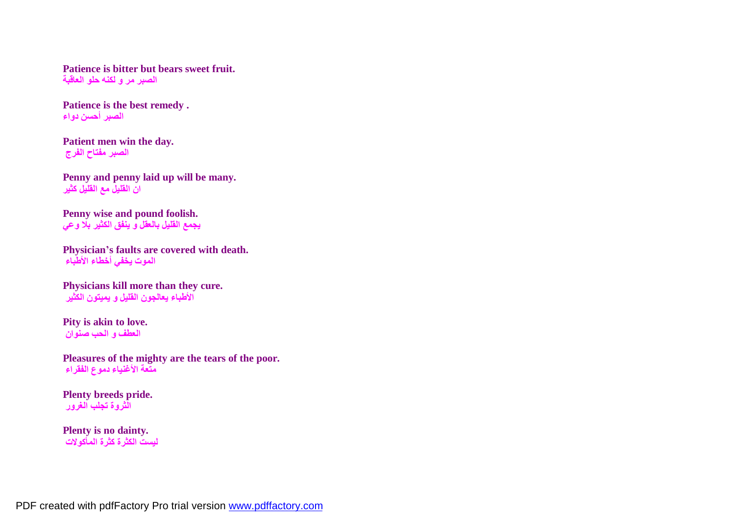**Patience is bitter but bears sweet fruit. الصبر مر و لكنھ حلو العاقبة**

**Patience is the best remedy . الصبر أحسن دواء**

**Patient men win the day. الصبر مفتاح الفرج**

**Penny and penny laid up will be many. ان القلیل مع القلیل كثیر**

**Penny wise and pound foolish. یجمع القلیل بالعقل و ینفق الكثیر بلا وعي**

**Physician's faults are covered with death. الموت یخفي أخطاء الأطباء**

**Physicians kill more than they cure. الأطباء یعالجون القلیل و یمیتون الكثیر**

**Pity is akin to love. العطف و الحب صنوان**

**Pleasures of the mighty are the tears of the poor. متعة الأغنیاء دموع الفقراء**

**Plenty breeds pride. الثروة تجلب الغرور**

**Plenty is no dainty. لیست الكثرة كثرة المأكولات**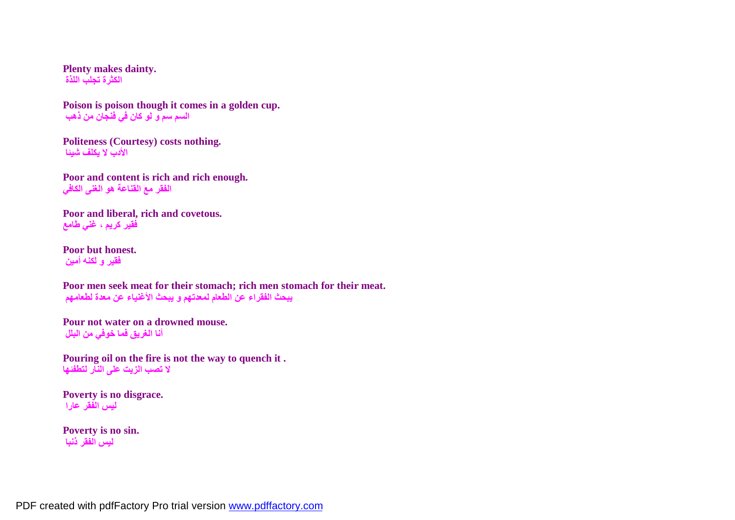**Plenty makes dainty. الكثرة تجلب اللذة**

**Poison is poison though it comes in a golden cup. السم سم و لو كان في فنجان من ذھب**

**Politeness (Courtesy) costs nothing. الأدب لا یكلف شیئا**

**Poor and content is rich and rich enough. الفقر مع القناعة ھو الغنى الكافي**

**Poor and liberal, rich and covetous. فقیر كریم ، غني طامع**

**Poor but honest. فقیر و لكنھ أمین**

**Poor men seek meat for their stomach; rich men stomach for their meat. یبحث الفقراء عن الطعام لمعدتھم و یبحث الأغنیاء عن معدة لطعامھم**

**Pour not water on a drowned mouse. أنا الغریق فما خوفي من البلل**

**Pouring oil on the fire is not the way to quench it . لا تصب الزیت على النار لتطفئھا**

**Poverty is no disgrace. لیس الفقر عارا**

**Poverty is no sin. لیس الفقر ذنبا**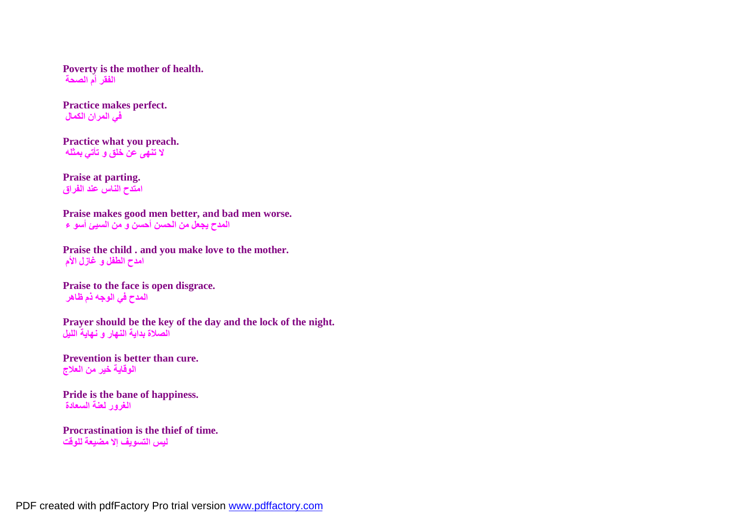**Poverty is the mother of health. الفقر أم الصحة**

**Practice makes perfect. في المران الكمال**

**Practice what you preach. لا تنھى عن خلق و تأتي بمثلھ**

**Praise at parting. امتدح الناس عند الفراق**

**Praise makes good men better, and bad men worse. المدح یجعل من الحسن أحسن و من السیئ أسو ء**

**Praise the child . and you make love to the mother. امدح الطفل و غازل الأم**

**Praise to the face is open disgrace. المدح في الوجھ ذم ظاھر**

**Prayer should be the key of the day and the lock of the night. الصلاة بدایة النھار و نھایة اللیل**

**Prevention is better than cure. الوقایة خیر من العلاج**

**Pride is the bane of happiness. الغرور لعنة السعادة**

**Procrastination is the thief of time. لیس التسویف إلا مضیعة للوقت**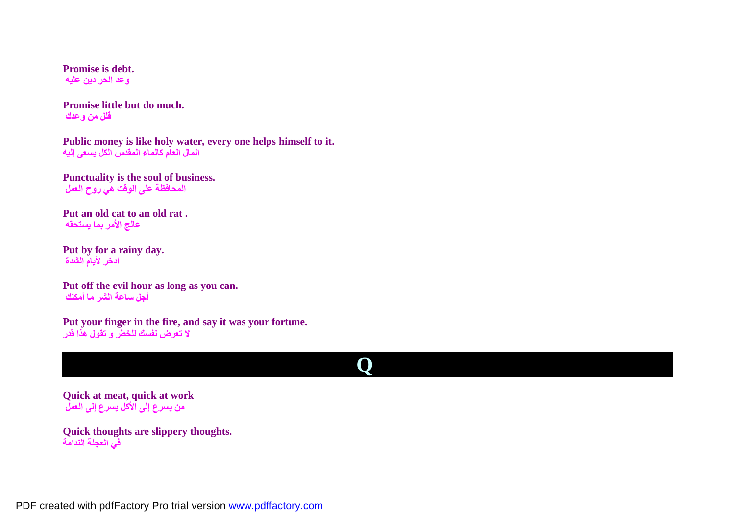**Promise is debt. وعد الحر دین علیھ**

**Promise little but do much. قلل من وعدك**

**Public money is like holy water, every one helps himself to it. المال العام كالماء المقدس الكل یسعى إلیھ**

**Punctuality is the soul of business. المحافظة على الوقت ھي روح العمل**

**Put an old cat to an old rat . عالج الأمر بما یستحقھ**

**Put by for a rainy day. ادخر لأیام الشدة**

**Put off the evil hour as long as you can. أجل ساعة الشر ما أمكنك**

**Put your finger in the fire, and say it was your fortune. لا تعرض نفسك للخطر و تقول ھذا قدر**

# **Q**

**Quick at meat, quick at work من یسرع إلى الأكل یسرع إلى العمل**

**Quick thoughts are slippery thoughts. في العجلة الندامة**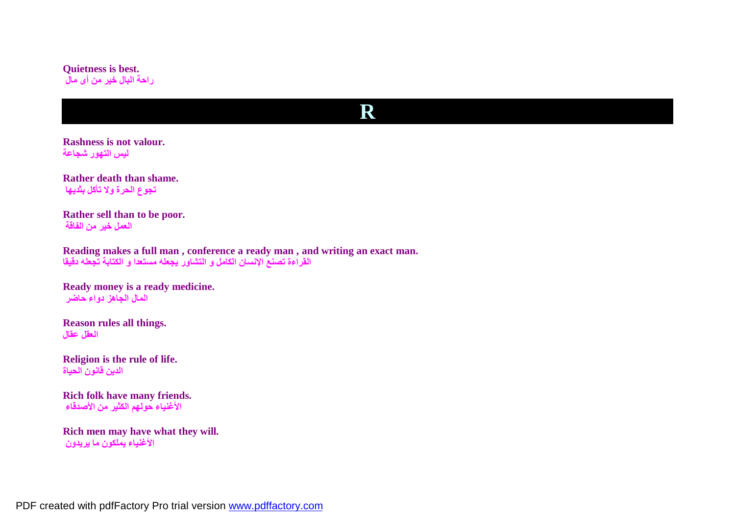#### **Quietness is best. راحة البال خیر من أى مال**

### **R**

**Rashness is not valour. لیس التھور شجاعة**

**Rather death than shame. تجوع الحرة ولا تأكل بثدیھا**

**Rather sell than to be poor. العمل خیر من الفاقة**

**Reading makes a full man , conference a ready man , and writing an exact man. القراءة تصنع الإنسان الكامل و التشاور یجعلھ مستعدا و الكتابة تجعلھ دقیقا**

**Ready money is a ready medicine. المال الجاھز دواء حاضر**

**Reason rules all things. العقل عقال**

**Religion is the rule of life. الدین قانون الحیاة**

**Rich folk have many friends. الأغنیاء حولھم الكثیر من الأصدقاء**

**Rich men may have what they will. الأغنیاء یملكون ما یریدون**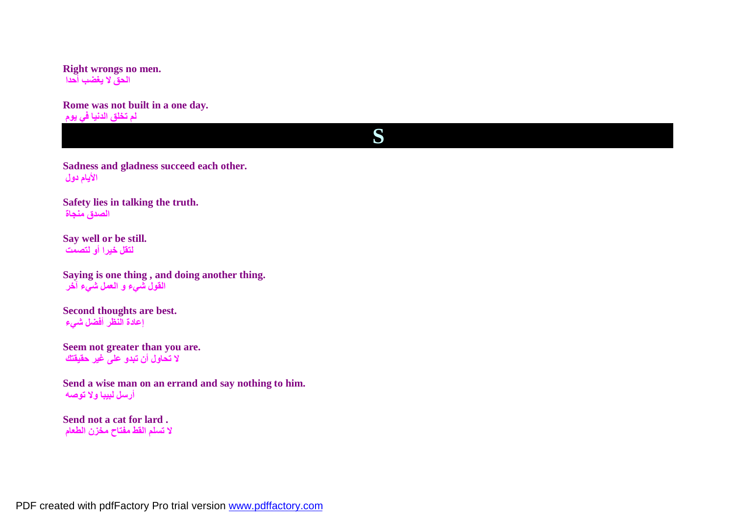**Right wrongs no men. الحق لا یغضب أحدا**

**Rome was not built in a one day. لم تخلق الدنیا في یوم**

## **S**

**Sadness and gladness succeed each other. الأیام دول**

**Safety lies in talking the truth. الصدق منجاة**

**Say well or be still. لتقل خیرا أو لتصمت**

**Saying is one thing , and doing another thing. القول شيء و العمل شيء آخر**

**Second thoughts are best. إعادة النظر أفضل شيء**

**Seem not greater than you are. لا تحاول أن تبدو على غیر حقیقتك**

**Send a wise man on an errand and say nothing to him. أرسل لبیبا ولا توصھ**

**Send not a cat for lard . لا تسلم القط مفتاح مخزن الطعام**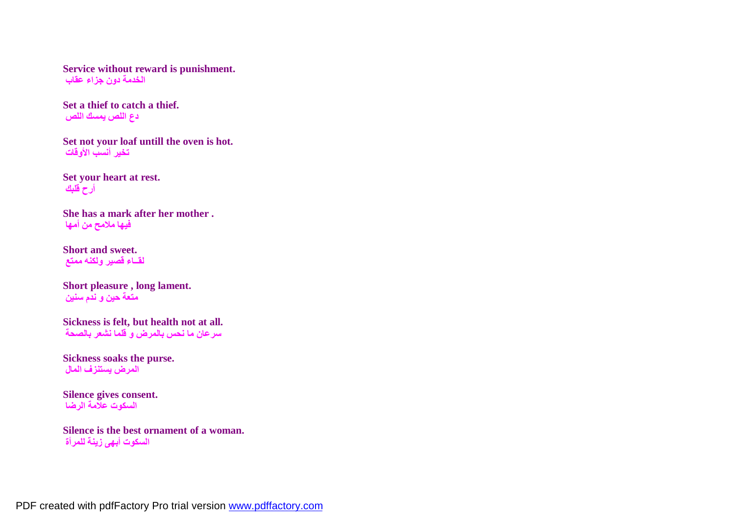**Service without reward is punishment. الخدمة دون جزاء عقاب**

**Set a thief to catch a thief. دع اللص یمسك اللص**

**Set not your loaf untill the oven is hot. تخیر أنسب الأوقات**

**Set your heart at rest. أرح قلبك**

**She has a mark after her mother . فیھا ملامح من أمھا**

**Short and sweet. لقــاء قصیر ولكنھ ممتع**

**Short pleasure , long lament. متعة حین و ندم سنین**

**Sickness is felt, but health not at all. سرعان ما نحس بالمرض و قلما نشعر بالصحة**

**Sickness soaks the purse. المرض یستنزف المال**

**Silence gives consent. السكوت علامة الرضا**

**Silence is the best ornament of a woman. السكوت أبھى زینة للمرأة**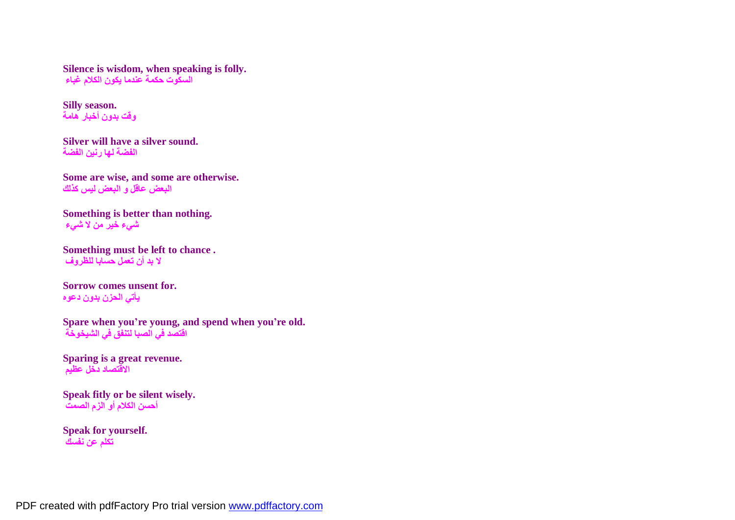**Silence is wisdom, when speaking is folly. السكوت حكمة عندما یكون الكلام غباء**

**Silly season. وقت بدون أخبار ھامة**

**Silver will have a silver sound. الفضة لھا رنین الفضة**

**Some are wise, and some are otherwise. البعض عاقل و البعض لیس كذلك**

**Something is better than nothing. شيء خیر من لا شيء**

```
Something must be left to chance .
لا بد أن تعمل حسابا للظروف
```
**Sorrow comes unsent for. یأتي الحزن بدون دعوه**

**Spare when you're young, and spend when you're old. اقتصد في الصبا لتنفق في الشیخوخة**

**Sparing is a great revenue. الاقتصاد دخل عظیم**

**Speak fitly or be silent wisely. أحسن الكلام أو الزم الصمت**

**Speak for yourself. تكلم عن نفسك**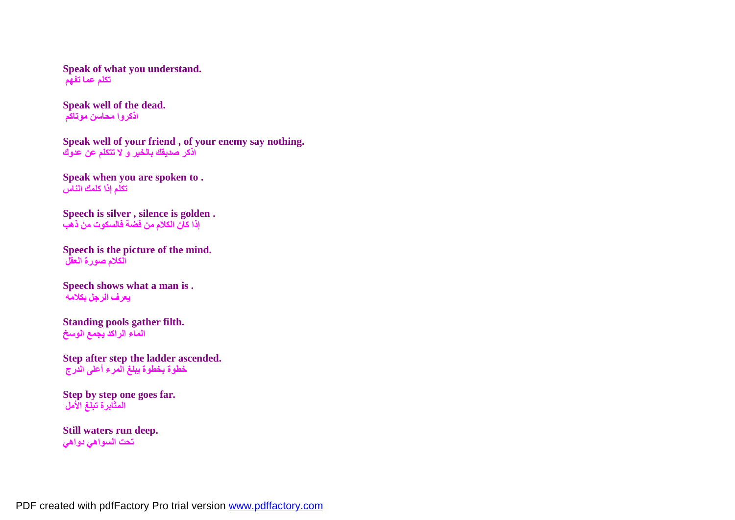**Speak of what you understand. تكلم عما تفھم**

**Speak well of the dead. اذكروا محاسن موتاكم**

**Speak well of your friend , of your enemy say nothing. اذكر صدیقك بالخیر و لا تتكلم عن عدوك**

**Speak when you are spoken to . تكلم إذا كلمك الناس**

**Speech is silver , silence is golden . إذا كان الكلام من فضة فالسكوت من ذھب**

**Speech is the picture of the mind. الكلام صورة العقل**

**Speech shows what a man is . یعرف الرجل بكلامھ**

**Standing pools gather filth. الماء الراكد یجمع الوسخ**

**Step after step the ladder ascended. خطوة بخطوة یبلغ المرء أعلى الدرج**

**Step by step one goes far. المثابرة تبلغ الأمل**

**Still waters run deep. تحت السواھي دواھي**